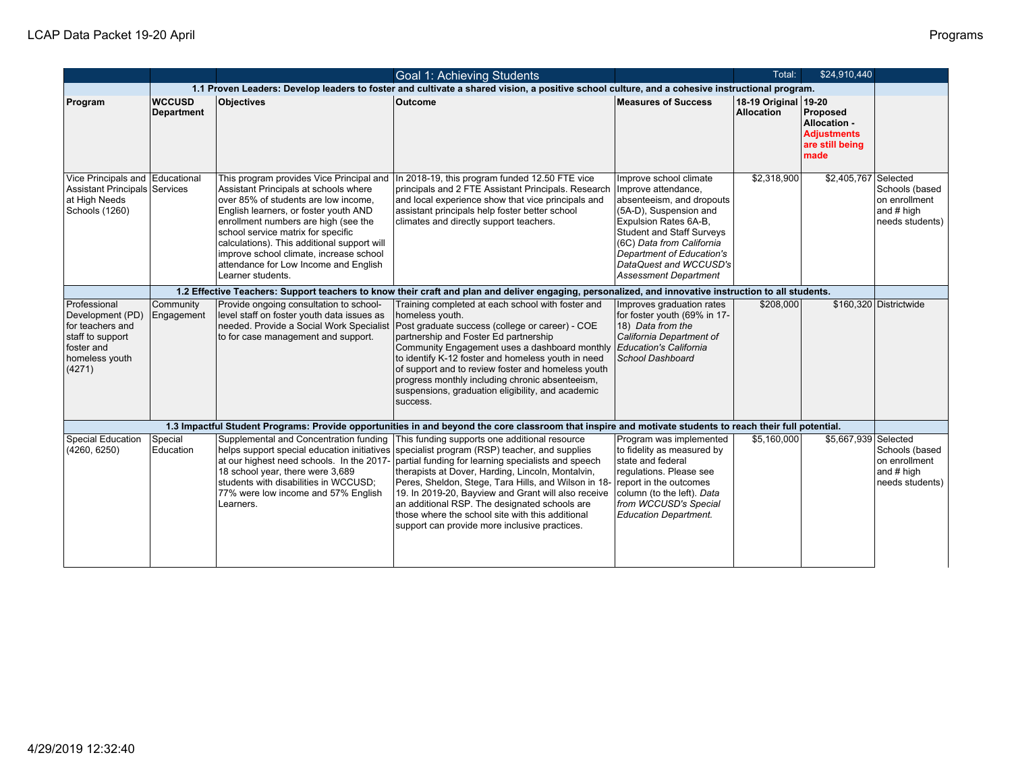|                                                                                                                    |                                    |                                                                                                                                                                                                                                                                                                                                                              | Goal 1: Achieving Students                                                                                                                                                                                                                                                                                                                                                                                                                                                                                                                                            |                                                                                                                                                                                                                                                                                | Total:                                    | \$24,910,440                                                              |                                                                  |
|--------------------------------------------------------------------------------------------------------------------|------------------------------------|--------------------------------------------------------------------------------------------------------------------------------------------------------------------------------------------------------------------------------------------------------------------------------------------------------------------------------------------------------------|-----------------------------------------------------------------------------------------------------------------------------------------------------------------------------------------------------------------------------------------------------------------------------------------------------------------------------------------------------------------------------------------------------------------------------------------------------------------------------------------------------------------------------------------------------------------------|--------------------------------------------------------------------------------------------------------------------------------------------------------------------------------------------------------------------------------------------------------------------------------|-------------------------------------------|---------------------------------------------------------------------------|------------------------------------------------------------------|
|                                                                                                                    |                                    |                                                                                                                                                                                                                                                                                                                                                              | 1.1 Proven Leaders: Develop leaders to foster and cultivate a shared vision, a positive school culture, and a cohesive instructional program.                                                                                                                                                                                                                                                                                                                                                                                                                         |                                                                                                                                                                                                                                                                                |                                           |                                                                           |                                                                  |
| Program                                                                                                            | <b>WCCUSD</b><br><b>Department</b> | <b>Objectives</b>                                                                                                                                                                                                                                                                                                                                            | <b>Outcome</b>                                                                                                                                                                                                                                                                                                                                                                                                                                                                                                                                                        | Measures of Success                                                                                                                                                                                                                                                            | 18-19 Original 19-20<br><b>Allocation</b> | Proposed<br>Allocation -<br><b>Adjustments</b><br>are still being<br>made |                                                                  |
| Vice Principals and Educational<br>Assistant Principals Services<br>at High Needs<br>Schools (1260)                |                                    | Assistant Principals at schools where<br>over 85% of students are low income,<br>English learners, or foster youth AND<br>enrollment numbers are high (see the<br>school service matrix for specific<br>calculations). This additional support will<br>improve school climate, increase school<br>attendance for Low Income and English<br>Learner students. | This program provides Vice Principal and   In 2018-19, this program funded 12.50 FTE vice<br>principals and 2 FTE Assistant Principals. Research<br>and local experience show that vice principals and<br>assistant principals help foster better school<br>climates and directly support teachers.                                                                                                                                                                                                                                                                   | Improve school climate<br>Improve attendance,<br>absenteeism, and dropouts<br>(5A-D), Suspension and<br>Expulsion Rates 6A-B,<br>Student and Staff Surveys<br>(6C) Data from California<br>Department of Education's<br>DataQuest and WCCUSD's<br><b>Assessment Department</b> | \$2,318,900                               | \$2,405,767 Selected                                                      | Schools (based<br>on enrollment<br>and # high<br>needs students) |
|                                                                                                                    |                                    |                                                                                                                                                                                                                                                                                                                                                              | 1.2 Effective Teachers: Support teachers to know their craft and plan and deliver engaging, personalized, and innovative instruction to all students.                                                                                                                                                                                                                                                                                                                                                                                                                 |                                                                                                                                                                                                                                                                                |                                           |                                                                           |                                                                  |
| Professional<br>Development (PD)<br>for teachers and<br>staff to support<br>foster and<br>homeless youth<br>(4271) | Community<br>Engagement            | Provide ongoing consultation to school-<br>level staff on foster youth data issues as<br>to for case management and support.                                                                                                                                                                                                                                 | Training completed at each school with foster and<br>homeless youth.<br>needed. Provide a Social Work Specialist   Post graduate success (college or career) - COE<br>partnership and Foster Ed partnership<br>Community Engagement uses a dashboard monthly<br>to identify K-12 foster and homeless youth in need<br>of support and to review foster and homeless youth<br>progress monthly including chronic absenteeism,<br>suspensions, graduation eligibility, and academic<br>success.                                                                          | Improves graduation rates<br>for foster youth (69% in 17-<br>18) Data from the<br>California Department of<br>Education's California<br>School Dashboard                                                                                                                       | \$208,000                                 |                                                                           | \$160,320 Districtwide                                           |
|                                                                                                                    |                                    |                                                                                                                                                                                                                                                                                                                                                              | 1.3 Impactful Student Programs: Provide opportunities in and beyond the core classroom that inspire and motivate students to reach their full potential.                                                                                                                                                                                                                                                                                                                                                                                                              |                                                                                                                                                                                                                                                                                |                                           |                                                                           |                                                                  |
| Special Education<br>(4260, 6250)                                                                                  | Special<br>Education               | at our highest need schools. In the 2017-<br>18 school year, there were 3,689<br>students with disabilities in WCCUSD:<br>77% were low income and 57% English<br>Learners.                                                                                                                                                                                   | Supplemental and Concentration funding   This funding supports one additional resource<br>helps support special education initiatives specialist program (RSP) teacher, and supplies<br>partial funding for learning specialists and speech<br>therapists at Dover, Harding, Lincoln, Montalvin,<br>Peres, Sheldon, Stege, Tara Hills, and Wilson in 18-<br>19. In 2019-20, Bayview and Grant will also receive<br>an additional RSP. The designated schools are<br>those where the school site with this additional<br>support can provide more inclusive practices. | Program was implemented<br>to fidelity as measured by<br>state and federal<br>regulations. Please see<br>report in the outcomes<br>column (to the left). Data<br>from WCCUSD's Special<br><b>Education Department.</b>                                                         | \$5.160,000                               | \$5,667,939 Selected                                                      | Schools (based<br>on enrollment<br>and # high<br>needs students) |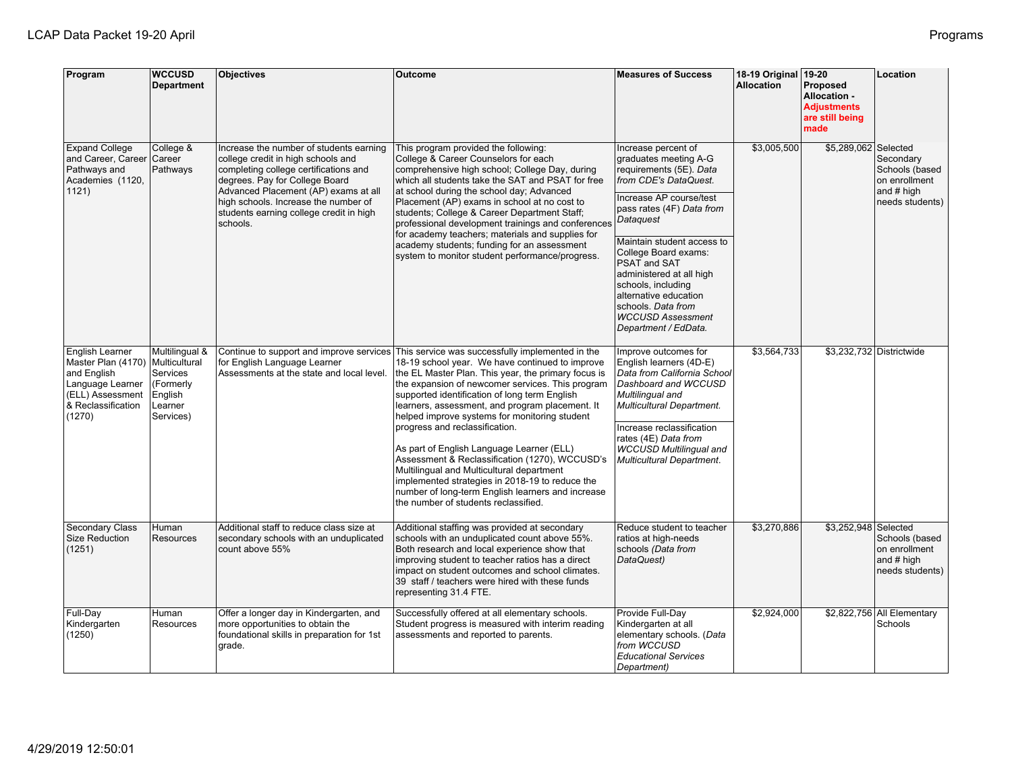| Program                                                                                                                      | <b>WCCUSD</b><br><b>Department</b>                                                          | <b>Objectives</b>                                                                                                                                                                                                                                                                               | Outcome                                                                                                                                                                                                                                                                                                                                                                                                                                                                                                                                                                                                                                                                                                                                    | <b>Measures of Success</b>                                                                                                                                                                                                                                                                                                                                                                               | 18-19 Original 19-20<br><b>Allocation</b> | Proposed<br><b>Allocation -</b><br><b>Adjustments</b><br>are still being<br>made | Location                                                                        |
|------------------------------------------------------------------------------------------------------------------------------|---------------------------------------------------------------------------------------------|-------------------------------------------------------------------------------------------------------------------------------------------------------------------------------------------------------------------------------------------------------------------------------------------------|--------------------------------------------------------------------------------------------------------------------------------------------------------------------------------------------------------------------------------------------------------------------------------------------------------------------------------------------------------------------------------------------------------------------------------------------------------------------------------------------------------------------------------------------------------------------------------------------------------------------------------------------------------------------------------------------------------------------------------------------|----------------------------------------------------------------------------------------------------------------------------------------------------------------------------------------------------------------------------------------------------------------------------------------------------------------------------------------------------------------------------------------------------------|-------------------------------------------|----------------------------------------------------------------------------------|---------------------------------------------------------------------------------|
| <b>Expand College</b><br>and Career, Career Career<br>Pathways and<br>Academies (1120,<br>1121)                              | College &<br>Pathways                                                                       | Increase the number of students earning<br>college credit in high schools and<br>completing college certifications and<br>degrees. Pay for College Board<br>Advanced Placement (AP) exams at all<br>high schools. Increase the number of<br>students earning college credit in high<br>schools. | This program provided the following:<br>College & Career Counselors for each<br>comprehensive high school; College Day, during<br>which all students take the SAT and PSAT for free<br>at school during the school day; Advanced<br>Placement (AP) exams in school at no cost to<br>students; College & Career Department Staff;<br>professional development trainings and conferences<br>for academy teachers; materials and supplies for<br>academy students; funding for an assessment<br>system to monitor student performance/progress.                                                                                                                                                                                               | Increase percent of<br>graduates meeting A-G<br>requirements (5E). Data<br>from CDE's DataQuest.<br>Increase AP course/test<br>pass rates (4F) Data from<br>Dataquest<br>Maintain student access to<br>College Board exams:<br>PSAT and SAT<br>administered at all high<br>schools, including<br>alternative education<br>Ischools. <i>Data from</i><br><b>WCCUSD Assessment</b><br>Department / EdData. | \$3,005,500                               | \$5,289,062 Selected                                                             | Secondary<br>Schools (based<br>on enrollment<br>and $#$ high<br>needs students) |
| English Learner<br>Master Plan (4170)<br>and English<br>Language Learner<br>(ELL) Assessment<br>& Reclassification<br>(1270) | Multilingual &<br>Multicultural<br>Services<br>(Formerly<br>English<br>Learner<br>Services) | for English Language Learner<br>Assessments at the state and local level.                                                                                                                                                                                                                       | Continue to support and improve services This service was successfully implemented in the<br>18-19 school year. We have continued to improve<br>the EL Master Plan. This year, the primary focus is<br>the expansion of newcomer services. This program<br>supported identification of long term English<br>learners, assessment, and program placement. It<br>helped improve systems for monitoring student<br>progress and reclassification.<br>As part of English Language Learner (ELL)<br>Assessment & Reclassification (1270), WCCUSD's<br>Multilingual and Multicultural department<br>implemented strategies in 2018-19 to reduce the<br>number of long-term English learners and increase<br>the number of students reclassified. | Improve outcomes for<br>English learners (4D-E)<br>Data from California School<br>Dashboard and WCCUSD<br>Multilingual and<br><b>Multicultural Department.</b><br>Increase reclassification<br>rates (4E) Data from<br><b>WCCUSD Multilingual and</b><br><b>Multicultural Department.</b>                                                                                                                | \$3,564,733                               |                                                                                  | \$3,232,732 Districtwide                                                        |
| <b>Secondary Class</b><br>Size Reduction<br>(1251)                                                                           | Human<br>Resources                                                                          | Additional staff to reduce class size at<br>secondary schools with an unduplicated<br>count above 55%                                                                                                                                                                                           | Additional staffing was provided at secondary<br>schools with an unduplicated count above 55%.<br>Both research and local experience show that<br>improving student to teacher ratios has a direct<br>impact on student outcomes and school climates.<br>39 staff / teachers were hired with these funds<br>representing 31.4 FTE.                                                                                                                                                                                                                                                                                                                                                                                                         | Reduce student to teacher<br>ratios at high-needs<br>schools (Data from<br>DataQuest)                                                                                                                                                                                                                                                                                                                    | \$3,270,886                               | \$3,252,948 Selected                                                             | Schools (based<br>on enrollment<br>and # high<br>needs students)                |
| Full-Day<br>Kindergarten<br>(1250)                                                                                           | Human<br>Resources                                                                          | Offer a longer day in Kindergarten, and<br>more opportunities to obtain the<br>foundational skills in preparation for 1st<br>grade.                                                                                                                                                             | Successfully offered at all elementary schools.<br>Student progress is measured with interim reading<br>assessments and reported to parents.                                                                                                                                                                                                                                                                                                                                                                                                                                                                                                                                                                                               | Provide Full-Day<br>Kindergarten at all<br>elementary schools. (Data<br>from WCCUSD<br><b>Educational Services</b><br>Department)                                                                                                                                                                                                                                                                        | \$2,924,000                               |                                                                                  | \$2,822,756 All Elementary<br>Schools                                           |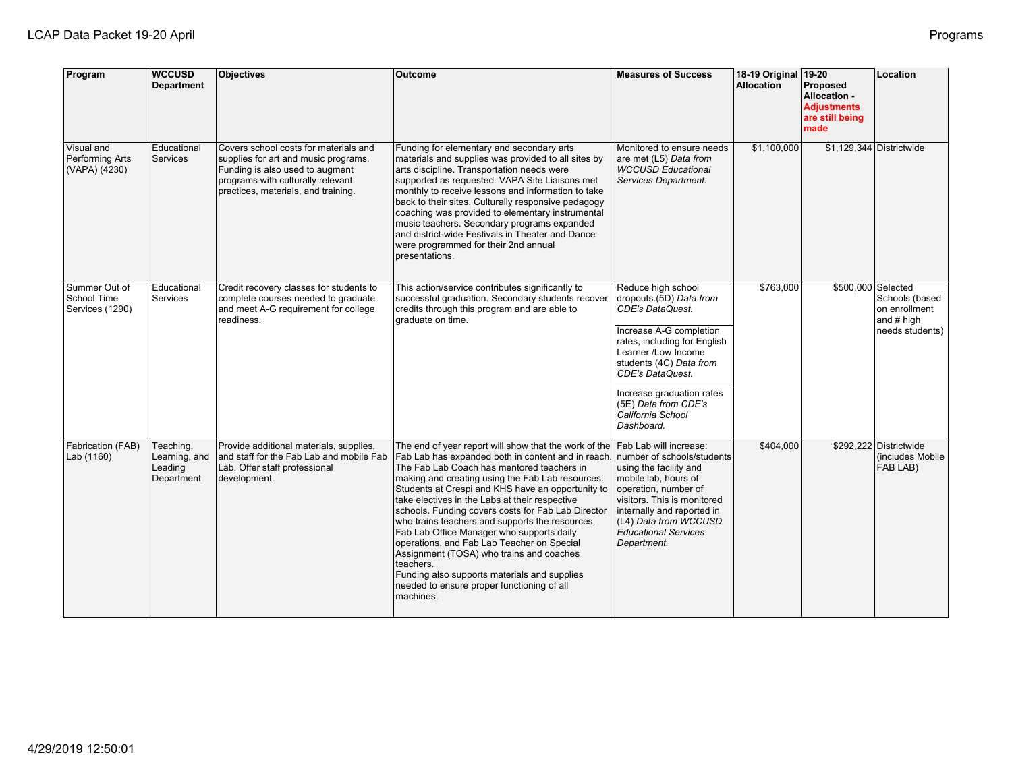| Program                                         | <b>WCCUSD</b><br><b>Department</b>                  | Objectives                                                                                                                                                                                   | <b>Outcome</b>                                                                                                                                                                                                                                                                                                                                                                                                                                                                                                                                                                                                                                                                               | <b>Measures of Success</b>                                                                                                                                                                                                                                                                               | 18-19 Original<br><b>Allocation</b> | $19-20$<br>Proposed<br>Allocation -<br><b>Adjustments</b><br>are still being<br>made | Location                                                         |
|-------------------------------------------------|-----------------------------------------------------|----------------------------------------------------------------------------------------------------------------------------------------------------------------------------------------------|----------------------------------------------------------------------------------------------------------------------------------------------------------------------------------------------------------------------------------------------------------------------------------------------------------------------------------------------------------------------------------------------------------------------------------------------------------------------------------------------------------------------------------------------------------------------------------------------------------------------------------------------------------------------------------------------|----------------------------------------------------------------------------------------------------------------------------------------------------------------------------------------------------------------------------------------------------------------------------------------------------------|-------------------------------------|--------------------------------------------------------------------------------------|------------------------------------------------------------------|
| Visual and<br>Performing Arts<br>(VAPA) (4230)  | Educational<br>Services                             | Covers school costs for materials and<br>supplies for art and music programs.<br>Funding is also used to augment<br>programs with culturally relevant<br>practices, materials, and training. | Funding for elementary and secondary arts<br>materials and supplies was provided to all sites by<br>arts discipline. Transportation needs were<br>supported as requested. VAPA Site Liaisons met<br>monthly to receive lessons and information to take<br>back to their sites. Culturally responsive pedagogy<br>coaching was provided to elementary instrumental<br>music teachers. Secondary programs expanded<br>and district-wide Festivals in Theater and Dance<br>were programmed for their 2nd annual<br>presentations.                                                                                                                                                               | Monitored to ensure needs<br>are met (L5) Data from<br><b>WCCUSD Educational</b><br>Services Department.                                                                                                                                                                                                 | \$1,100,000                         |                                                                                      | $$1,129,344$ Districtwide                                        |
| Summer Out of<br>School Time<br>Services (1290) | Educational<br>Services                             | Credit recovery classes for students to<br>complete courses needed to graduate<br>and meet A-G requirement for college<br>readiness.                                                         | This action/service contributes significantly to<br>successful graduation. Secondary students recover<br>credits through this program and are able to<br>graduate on time.                                                                                                                                                                                                                                                                                                                                                                                                                                                                                                                   | Reduce high school<br>dropouts.(5D) Data from<br><b>CDE's DataQuest.</b><br>Increase A-G completion<br>rates, including for English<br>Learner /Low Income<br>students (4C) Data from<br><b>CDE's DataQuest.</b><br>Increase graduation rates<br>(5E) Data from CDE's<br>California School<br>Dashboard. | \$763,000                           | \$500,000 Selected                                                                   | Schools (based<br>on enrollment<br>and # high<br>needs students) |
| Fabrication (FAB)<br>Lab (1160)                 | Teaching,<br>Learning, and<br>Leading<br>Department | Provide additional materials, supplies,<br>and staff for the Fab Lab and mobile Fab<br>Lab. Offer staff professional<br>development.                                                         | The end of year report will show that the work of the<br>Fab Lab has expanded both in content and in reach.<br>The Fab Lab Coach has mentored teachers in<br>making and creating using the Fab Lab resources.<br>Students at Crespi and KHS have an opportunity to<br>take electives in the Labs at their respective<br>schools. Funding covers costs for Fab Lab Director<br>who trains teachers and supports the resources.<br>Fab Lab Office Manager who supports daily<br>operations, and Fab Lab Teacher on Special<br>Assignment (TOSA) who trains and coaches<br>teachers.<br>Funding also supports materials and supplies<br>needed to ensure proper functioning of all<br>machines. | Fab Lab will increase:<br>number of schools/students<br>using the facility and<br>mobile lab, hours of<br>operation, number of<br>visitors. This is monitored<br>internally and reported in<br>(L4) Data from WCCUSD<br><b>Educational Services</b><br>Department.                                       | \$404,000                           |                                                                                      | \$292,222 Districtwide<br>(includes Mobile)<br><b>FAB LAB)</b>   |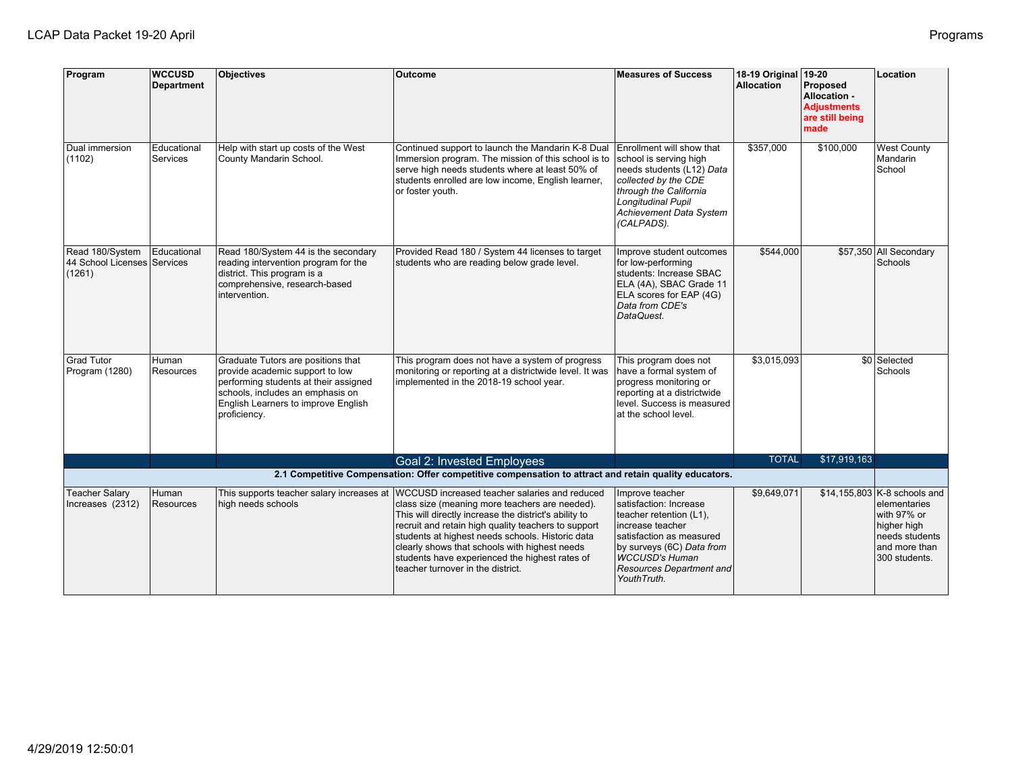| Program                                                  | <b>WCCUSD</b><br><b>Department</b> | <b>Objectives</b>                                                                                                                                                                                         | <b>Outcome</b>                                                                                                                                                                                                                                                                                                                                             | <b>Measures of Success</b>                                                                                                                                                                                      | 18-19 Original 19-20<br><b>Allocation</b> | Proposed<br>Allocation -<br><b>Adjustments</b><br>are still being<br>made | Location                                                                                       |
|----------------------------------------------------------|------------------------------------|-----------------------------------------------------------------------------------------------------------------------------------------------------------------------------------------------------------|------------------------------------------------------------------------------------------------------------------------------------------------------------------------------------------------------------------------------------------------------------------------------------------------------------------------------------------------------------|-----------------------------------------------------------------------------------------------------------------------------------------------------------------------------------------------------------------|-------------------------------------------|---------------------------------------------------------------------------|------------------------------------------------------------------------------------------------|
| Dual immersion<br>(1102)                                 | Educational<br>Services            | Help with start up costs of the West<br>County Mandarin School.                                                                                                                                           | Continued support to launch the Mandarin K-8 Dual<br>Immersion program. The mission of this school is to<br>serve high needs students where at least 50% of<br>students enrolled are low income, English learner,<br>or foster youth.                                                                                                                      | Enrollment will show that<br>school is serving high<br>needs students (L12) Data<br>collected by the CDE<br>through the California<br><b>Longitudinal Pupil</b><br><b>Achievement Data System</b><br>(CALPADS). | \$357,000                                 | \$100,000                                                                 | <b>West County</b><br>Mandarin<br>School                                                       |
| Read 180/System<br>44 School Licenses Services<br>(1261) | Educational                        | Read 180/System 44 is the secondary<br>reading intervention program for the<br>district. This program is a<br>comprehensive, research-based<br>intervention.                                              | Provided Read 180 / System 44 licenses to target<br>students who are reading below grade level.                                                                                                                                                                                                                                                            | Improve student outcomes<br>for low-performing<br>students: Increase SBAC<br>ELA (4A), SBAC Grade 11<br>ELA scores for EAP (4G)<br>Data from CDE's<br>DataQuest.                                                | \$544,000                                 |                                                                           | \$57,350 All Secondary<br>Schools                                                              |
| <b>Grad Tutor</b><br>Program (1280)                      | Human<br>Resources                 | Graduate Tutors are positions that<br>provide academic support to low<br>performing students at their assigned<br>schools, includes an emphasis on<br>English Learners to improve English<br>proficiency. | This program does not have a system of progress<br>monitoring or reporting at a districtwide level. It was<br>implemented in the 2018-19 school year.                                                                                                                                                                                                      | This program does not<br>have a formal system of<br>progress monitoring or<br>reporting at a districtwide<br>level. Success is measured<br>at the school level.                                                 | \$3,015,093                               |                                                                           | \$0 Selected<br>Schools                                                                        |
|                                                          |                                    |                                                                                                                                                                                                           | Goal 2: Invested Employees<br>2.1 Competitive Compensation: Offer competitive compensation to attract and retain quality educators.                                                                                                                                                                                                                        |                                                                                                                                                                                                                 | <b>TOTAL</b>                              | \$17,919,163                                                              |                                                                                                |
| <b>Teacher Salary</b>                                    | Human                              |                                                                                                                                                                                                           | This supports teacher salary increases at  WCCUSD increased teacher salaries and reduced                                                                                                                                                                                                                                                                   | Improve teacher                                                                                                                                                                                                 | \$9,649,071                               |                                                                           | $$14, 155, 803$ K-8 schools and                                                                |
| Increases (2312)                                         | Resources                          | high needs schools                                                                                                                                                                                        | class size (meaning more teachers are needed).<br>This will directly increase the district's ability to<br>recruit and retain high quality teachers to support<br>students at highest needs schools. Historic data<br>clearly shows that schools with highest needs<br>students have experienced the highest rates of<br>teacher turnover in the district. | satisfaction: Increase<br>teacher retention (L1),<br>lincrease teacher<br>satisfaction as measured<br>by surveys (6C) Data from<br>WCCUSD's Human<br><b>Resources Department and</b><br>YouthTruth.             |                                           |                                                                           | elementaries<br>with 97% or<br>higher high<br>needs students<br>and more than<br>300 students. |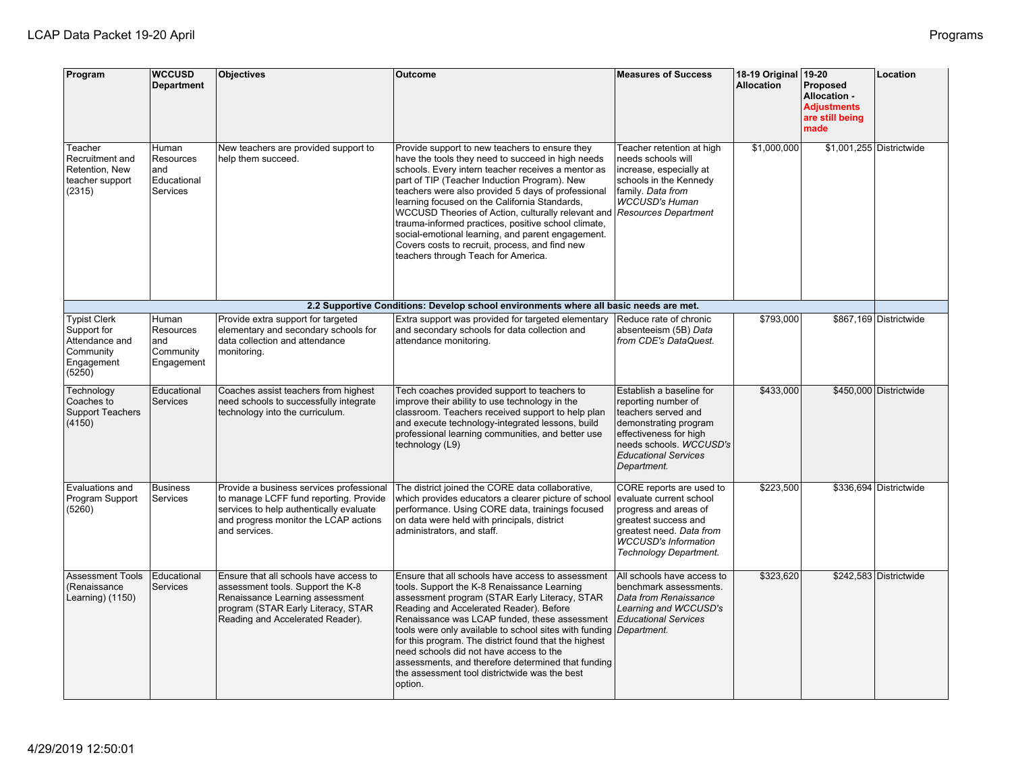| Program                                                                                   | <b>WCCUSD</b><br><b>Department</b>                   | <b>Objectives</b>                                                                                                                                                                        | <b>Outcome</b>                                                                                                                                                                                                                                                                                                                                                                                                                                                                                                                                                              | <b>Measures of Success</b>                                                                                                                                                                         | 18-19 Original<br><b>Allocation</b> | $19-20$<br>Proposed<br>Allocation -<br><b>Adiustments</b><br>are still being<br>made | Location                 |
|-------------------------------------------------------------------------------------------|------------------------------------------------------|------------------------------------------------------------------------------------------------------------------------------------------------------------------------------------------|-----------------------------------------------------------------------------------------------------------------------------------------------------------------------------------------------------------------------------------------------------------------------------------------------------------------------------------------------------------------------------------------------------------------------------------------------------------------------------------------------------------------------------------------------------------------------------|----------------------------------------------------------------------------------------------------------------------------------------------------------------------------------------------------|-------------------------------------|--------------------------------------------------------------------------------------|--------------------------|
| Teacher<br>Recruitment and<br>Retention, New<br>teacher support<br>(2315)                 | Human<br>Resources<br>and<br>Educational<br>Services | New teachers are provided support to<br>help them succeed.                                                                                                                               | Provide support to new teachers to ensure they<br>have the tools they need to succeed in high needs<br>schools. Every intern teacher receives a mentor as<br>part of TIP (Teacher Induction Program). New<br>teachers were also provided 5 days of professional<br>learning focused on the California Standards,<br>WCCUSD Theories of Action, culturally relevant and<br>trauma-informed practices, positive school climate,<br>social-emotional learning, and parent engagement.<br>Covers costs to recruit, process, and find new<br>teachers through Teach for America. | Teacher retention at high<br>needs schools will<br>increase, especially at<br>schools in the Kennedy<br>family. Data from<br><b>WCCUSD's Human</b><br><b>Resources Department</b>                  | \$1.000.000                         |                                                                                      | \$1,001,255 Districtwide |
|                                                                                           |                                                      |                                                                                                                                                                                          | 2.2 Supportive Conditions: Develop school environments where all basic needs are met.                                                                                                                                                                                                                                                                                                                                                                                                                                                                                       |                                                                                                                                                                                                    |                                     |                                                                                      |                          |
| <b>Typist Clerk</b><br>Support for<br>Attendance and<br>Community<br>Engagement<br>(5250) | Human<br>Resources<br>and<br>Community<br>Engagement | Provide extra support for targeted<br>elementary and secondary schools for<br>data collection and attendance<br>monitoring.                                                              | Extra support was provided for targeted elementary<br>and secondary schools for data collection and<br>attendance monitoring.                                                                                                                                                                                                                                                                                                                                                                                                                                               | Reduce rate of chronic<br>absenteeism (5B) Data<br>from CDE's DataQuest.                                                                                                                           | \$793,000                           |                                                                                      | \$867,169 Districtwide   |
| Technology<br>Coaches to<br><b>Support Teachers</b><br>(4150)                             | Educational<br>Services                              | Coaches assist teachers from highest<br>need schools to successfully integrate<br>technology into the curriculum.                                                                        | Tech coaches provided support to teachers to<br>improve their ability to use technology in the<br>classroom. Teachers received support to help plan<br>and execute technology-integrated lessons, build<br>professional learning communities, and better use<br>technology (L9)                                                                                                                                                                                                                                                                                             | Establish a baseline for<br>reporting number of<br>teachers served and<br>demonstrating program<br>effectiveness for high<br>needs schools. WCCUSD's<br><b>Educational Services</b><br>Department. | \$433.000                           |                                                                                      | \$450,000 Districtwide   |
| Evaluations and<br>Program Support<br>(5260)                                              | <b>Business</b><br>Services                          | Provide a business services professional<br>to manage LCFF fund reporting. Provide<br>services to help authentically evaluate<br>and progress monitor the LCAP actions<br>and services.  | The district joined the CORE data collaborative,<br>which provides educators a clearer picture of school<br>performance. Using CORE data, trainings focused<br>on data were held with principals, district<br>administrators, and staff.                                                                                                                                                                                                                                                                                                                                    | CORE reports are used to<br>evaluate current school<br>progress and areas of<br>greatest success and<br>greatest need. Data from<br><b>WCCUSD's Information</b><br>Technology Department.          | \$223,500                           |                                                                                      | \$336,694 Districtwide   |
| <b>Assessment Tools</b><br>(Renaissance<br>Learning) (1150)                               | Educational<br>Services                              | Ensure that all schools have access to<br>assessment tools. Support the K-8<br>Renaissance Learning assessment<br>program (STAR Early Literacy, STAR<br>Reading and Accelerated Reader). | Ensure that all schools have access to assessment<br>tools. Support the K-8 Renaissance Learning<br>assessment program (STAR Early Literacy, STAR<br>Reading and Accelerated Reader). Before<br>Renaissance was LCAP funded, these assessment<br>tools were only available to school sites with funding<br>for this program. The district found that the highest<br>need schools did not have access to the<br>assessments, and therefore determined that funding<br>the assessment tool districtwide was the best<br>option.                                               | All schools have access to<br>benchmark assessments.<br>Data from Renaissance<br>Learning and WCCUSD's<br><b>Educational Services</b><br>Department.                                               | \$323,620                           |                                                                                      | \$242,583 Districtwide   |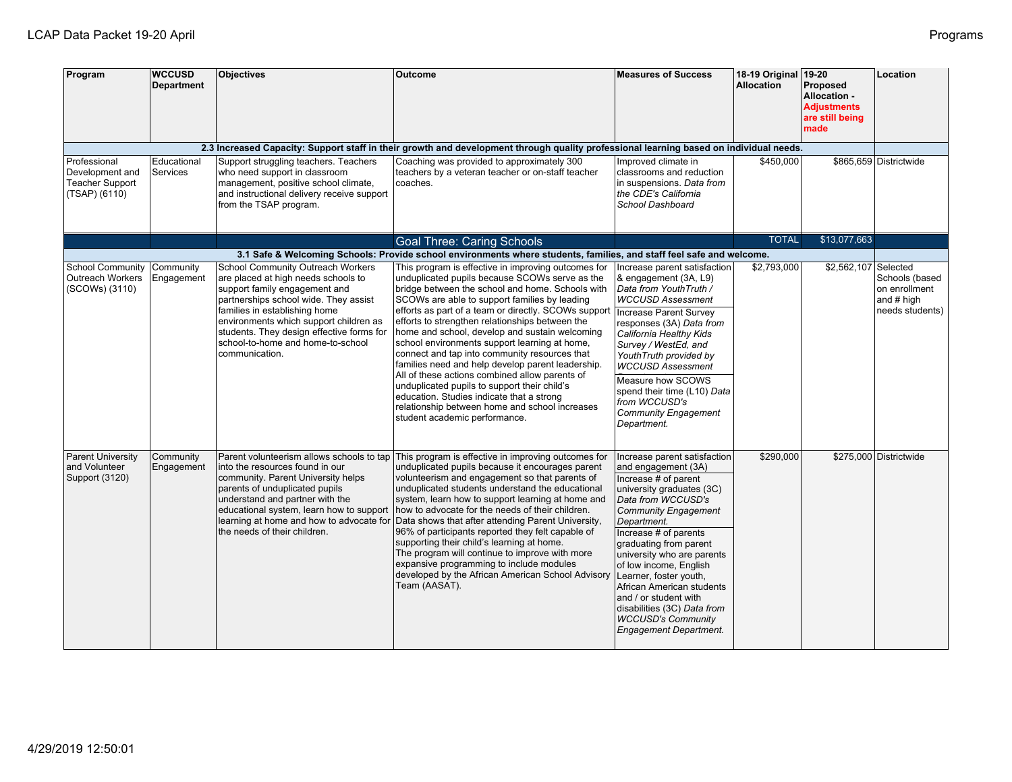| Program                                                                    | <b>WCCUSD</b><br><b>Department</b> | <b>Objectives</b>                                                                                                                                                                                                                                                                                                                 | Outcome                                                                                                                                                                                                                                                                                                                                                                                                                                                                                                                                                                                                                                                                                                                                                          | <b>Measures of Success</b>                                                                                                                                                                                                                                                                                                                                                                                                                                           | 18-19 Original 19-20<br><b>Allocation</b> | Proposed<br>Allocation -<br><b>Adjustments</b><br>are still being<br>made | Location                                                         |
|----------------------------------------------------------------------------|------------------------------------|-----------------------------------------------------------------------------------------------------------------------------------------------------------------------------------------------------------------------------------------------------------------------------------------------------------------------------------|------------------------------------------------------------------------------------------------------------------------------------------------------------------------------------------------------------------------------------------------------------------------------------------------------------------------------------------------------------------------------------------------------------------------------------------------------------------------------------------------------------------------------------------------------------------------------------------------------------------------------------------------------------------------------------------------------------------------------------------------------------------|----------------------------------------------------------------------------------------------------------------------------------------------------------------------------------------------------------------------------------------------------------------------------------------------------------------------------------------------------------------------------------------------------------------------------------------------------------------------|-------------------------------------------|---------------------------------------------------------------------------|------------------------------------------------------------------|
|                                                                            |                                    |                                                                                                                                                                                                                                                                                                                                   | 2.3 Increased Capacity: Support staff in their growth and development through quality professional learning based on individual needs.                                                                                                                                                                                                                                                                                                                                                                                                                                                                                                                                                                                                                           |                                                                                                                                                                                                                                                                                                                                                                                                                                                                      |                                           |                                                                           |                                                                  |
| Professional<br>Development and<br><b>Teacher Support</b><br>(TSAP) (6110) | Educational<br>Services            | Support struggling teachers. Teachers<br>who need support in classroom<br>management, positive school climate,<br>and instructional delivery receive support<br>from the TSAP program.                                                                                                                                            | Coaching was provided to approximately 300<br>teachers by a veteran teacher or on-staff teacher<br>coaches.                                                                                                                                                                                                                                                                                                                                                                                                                                                                                                                                                                                                                                                      | Improved climate in<br>classrooms and reduction<br>in suspensions. Data from<br>the CDE's California<br>School Dashboard                                                                                                                                                                                                                                                                                                                                             | \$450,000                                 |                                                                           | \$865,659 Districtwide                                           |
|                                                                            |                                    |                                                                                                                                                                                                                                                                                                                                   | <b>Goal Three: Caring Schools</b>                                                                                                                                                                                                                                                                                                                                                                                                                                                                                                                                                                                                                                                                                                                                |                                                                                                                                                                                                                                                                                                                                                                                                                                                                      | <b>TOTAL</b>                              | \$13,077,663                                                              |                                                                  |
|                                                                            |                                    |                                                                                                                                                                                                                                                                                                                                   | 3.1 Safe & Welcoming Schools: Provide school environments where students, families, and staff feel safe and welcome.                                                                                                                                                                                                                                                                                                                                                                                                                                                                                                                                                                                                                                             |                                                                                                                                                                                                                                                                                                                                                                                                                                                                      |                                           |                                                                           |                                                                  |
| <b>School Community</b><br>Outreach Workers<br>(SCOWs) (3110)              | Community<br>Engagement            | School Community Outreach Workers<br>are placed at high needs schools to<br>support family engagement and<br>partnerships school wide. They assist<br>families in establishing home<br>environments which support children as<br>students. They design effective forms for<br>school-to-home and home-to-school<br>communication. | This program is effective in improving outcomes for<br>unduplicated pupils because SCOWs serve as the<br>bridge between the school and home. Schools with<br>SCOWs are able to support families by leading<br>efforts as part of a team or directly. SCOWs support<br>efforts to strengthen relationships between the<br>home and school, develop and sustain welcoming<br>school environments support learning at home,<br>connect and tap into community resources that<br>families need and help develop parent leadership.<br>All of these actions combined allow parents of<br>unduplicated pupils to support their child's<br>education. Studies indicate that a strong<br>relationship between home and school increases<br>student academic performance. | Increase parent satisfaction<br>& engagement (3A, L9)<br>Data from YouthTruth /<br><b>WCCUSD Assessment</b><br>Increase Parent Survey<br>responses (3A) Data from<br>California Healthy Kids<br>Survey / WestEd, and<br>YouthTruth provided by<br><b>WCCUSD Assessment</b><br>Measure how SCOWS<br>spend their time (L10) Data<br>from WCCUSD's<br><b>Community Engagement</b><br>Department.                                                                        | \$2,793,000                               | \$2,562,107 Selected                                                      | Schools (based<br>on enrollment<br>and # high<br>needs students) |
| <b>Parent University</b><br>and Volunteer<br>Support (3120)                | Community<br>Engagement            | linto the resources found in our<br>community. Parent University helps<br>parents of unduplicated pupils<br>understand and partner with the<br>educational system, learn how to support<br>the needs of their children.                                                                                                           | Parent volunteerism allows schools to tap This program is effective in improving outcomes for<br>unduplicated pupils because it encourages parent<br>volunteerism and engagement so that parents of<br>unduplicated students understand the educational<br>system, learn how to support learning at home and<br>how to advocate for the needs of their children.<br>learning at home and how to advocate for Data shows that after attending Parent University,<br>96% of participants reported they felt capable of<br>supporting their child's learning at home.<br>The program will continue to improve with more<br>expansive programming to include modules<br>developed by the African American School Advisory<br>Team (AASAT).                           | Increase parent satisfaction<br>and engagement (3A)<br>Increase # of parent<br>university graduates (3C)<br>Data from WCCUSD's<br><b>Community Engagement</b><br>Department.<br>Increase # of parents<br>graduating from parent<br>university who are parents<br>of low income, English<br>Learner, foster youth,<br>African American students<br>and / or student with<br>disabilities (3C) Data from<br><b>WCCUSD's Community</b><br><b>Engagement Department.</b> | \$290,000                                 |                                                                           | \$275,000 Districtwide                                           |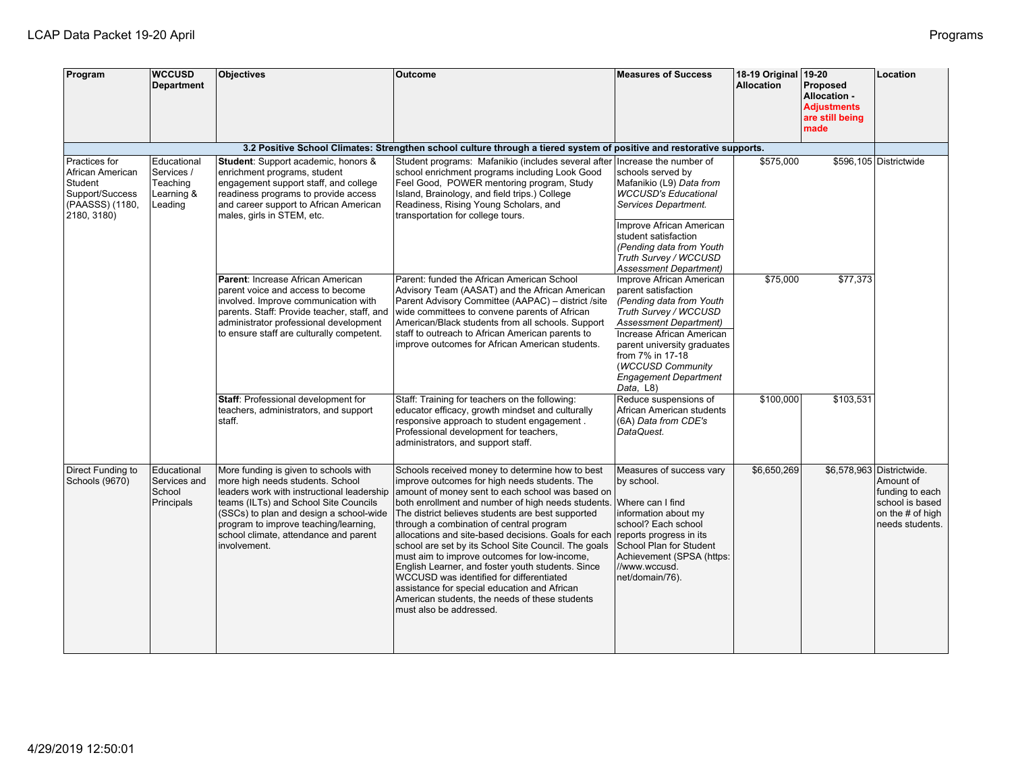| Program                                                                                           | <b>WCCUSD</b><br><b>Department</b>                             | <b>Objectives</b>                                                                                                                                                                                                                                                                                             | <b>Outcome</b>                                                                                                                                                                                                                                                                                                                                                                                                                                                                                                                                                                                                                                                                                            | <b>Measures of Success</b>                                                                                                                                                                                                                                                              | 18-19 Original 19-20<br><b>Allocation</b> | Proposed<br>Allocation -<br><b>Adjustments</b><br>are still being<br>made | Location                                                                                                            |
|---------------------------------------------------------------------------------------------------|----------------------------------------------------------------|---------------------------------------------------------------------------------------------------------------------------------------------------------------------------------------------------------------------------------------------------------------------------------------------------------------|-----------------------------------------------------------------------------------------------------------------------------------------------------------------------------------------------------------------------------------------------------------------------------------------------------------------------------------------------------------------------------------------------------------------------------------------------------------------------------------------------------------------------------------------------------------------------------------------------------------------------------------------------------------------------------------------------------------|-----------------------------------------------------------------------------------------------------------------------------------------------------------------------------------------------------------------------------------------------------------------------------------------|-------------------------------------------|---------------------------------------------------------------------------|---------------------------------------------------------------------------------------------------------------------|
|                                                                                                   |                                                                |                                                                                                                                                                                                                                                                                                               | 3.2 Positive School Climates: Strengthen school culture through a tiered system of positive and restorative supports.                                                                                                                                                                                                                                                                                                                                                                                                                                                                                                                                                                                     |                                                                                                                                                                                                                                                                                         |                                           |                                                                           |                                                                                                                     |
| Practices for<br>African American<br>Student<br>Support/Success<br>(PAASSS) (1180,<br>2180, 3180) | Educational<br>Services /<br>Teaching<br>Learning &<br>Leading | <b>Student:</b> Support academic, honors &<br>enrichment programs, student<br>engagement support staff, and college<br>readiness programs to provide access<br>and career support to African American<br>males, girls in STEM, etc.                                                                           | Student programs: Mafanikio (includes several after<br>school enrichment programs including Look Good<br>Feel Good, POWER mentoring program, Study<br>Island, Brainology, and field trips.) College<br>Readiness, Rising Young Scholars, and<br>transportation for college tours.                                                                                                                                                                                                                                                                                                                                                                                                                         | Increase the number of<br>schools served by<br>Mafanikio (L9) Data from<br><b>WCCUSD's Educational</b><br>Services Department.<br>Improve African American                                                                                                                              | \$575,000                                 |                                                                           | \$596,105 Districtwide                                                                                              |
|                                                                                                   |                                                                |                                                                                                                                                                                                                                                                                                               |                                                                                                                                                                                                                                                                                                                                                                                                                                                                                                                                                                                                                                                                                                           | student satisfaction<br>(Pending data from Youth<br>Truth Survey / WCCUSD<br><b>Assessment Department)</b>                                                                                                                                                                              |                                           |                                                                           |                                                                                                                     |
|                                                                                                   |                                                                | Parent: Increase African American<br>parent voice and access to become<br>involved. Improve communication with<br>parents. Staff: Provide teacher, staff, and<br>administrator professional development<br>to ensure staff are culturally competent.                                                          | Parent: funded the African American School<br>Advisory Team (AASAT) and the African American<br>Parent Advisory Committee (AAPAC) - district /site<br>wide committees to convene parents of African<br>American/Black students from all schools. Support<br>staff to outreach to African American parents to<br>improve outcomes for African American students.                                                                                                                                                                                                                                                                                                                                           | Improve African American<br>parent satisfaction<br>(Pending data from Youth<br>Truth Survey / WCCUSD<br><b>Assessment Department)</b><br>Increase African American<br>parent university graduates<br>from 7% in 17-18<br>(WCCUSD Community<br><b>Engagement Department</b><br>Data, L8) | \$75,000                                  | \$77,373                                                                  |                                                                                                                     |
|                                                                                                   |                                                                | Staff: Professional development for<br>teachers, administrators, and support<br>staff.                                                                                                                                                                                                                        | Staff: Training for teachers on the following:<br>educator efficacy, growth mindset and culturally<br>responsive approach to student engagement.<br>Professional development for teachers,<br>administrators, and support staff.                                                                                                                                                                                                                                                                                                                                                                                                                                                                          | Reduce suspensions of<br>African American students<br>(6A) Data from CDE's<br>DataQuest.                                                                                                                                                                                                | \$100,000                                 | \$103,531                                                                 |                                                                                                                     |
| Direct Funding to<br>Schools (9670)                                                               | Educational<br>Services and<br>School<br>Principals            | More funding is given to schools with<br>more high needs students. School<br>leaders work with instructional leadership<br>teams (ILTs) and School Site Councils<br>(SSCs) to plan and design a school-wide<br>program to improve teaching/learning,<br>school climate, attendance and parent<br>involvement. | Schools received money to determine how to best<br>improve outcomes for high needs students. The<br>amount of money sent to each school was based on<br>both enrollment and number of high needs students.<br>The district believes students are best supported<br>through a combination of central program<br>allocations and site-based decisions. Goals for each<br>school are set by its School Site Council. The goals<br>must aim to improve outcomes for low-income,<br>English Learner, and foster youth students. Since<br>WCCUSD was identified for differentiated<br>assistance for special education and African<br>American students, the needs of these students<br>must also be addressed. | Measures of success vary<br>by school.<br>Where can I find<br>information about my<br>school? Each school<br>reports progress in its<br>School Plan for Student<br>Achievement (SPSA (https:<br>//www.wccusd.<br>net/domain/76).                                                        | \$6,650,269                               |                                                                           | \$6,578,963 Districtwide.<br>Amount of<br>funding to each<br>school is based<br>on the # of high<br>needs students. |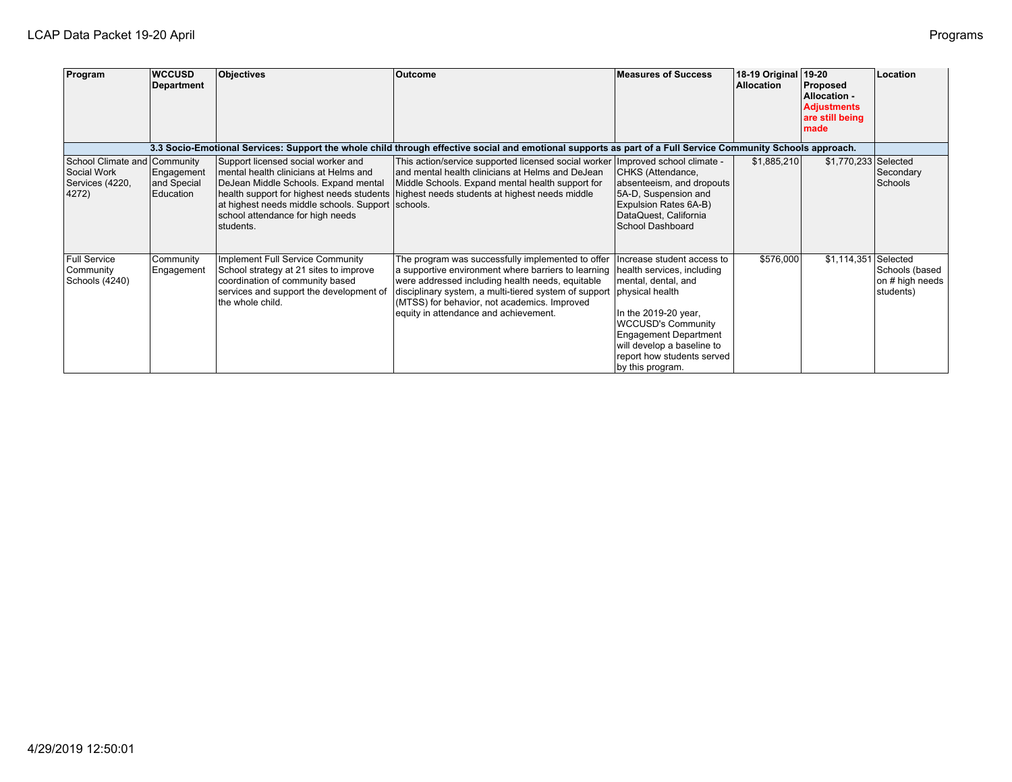| Program                                                       | <b>WCCUSD</b><br>Department                         | Objectives                                                                                                                                                                                                                | Outcome                                                                                                                                                                                                                                                                                                        | <b>Measures of Success</b>                                                                                                                                                                                                                                              | 18-19 Original<br><b>Allocation</b> | 19-20<br>Proposed<br>Allocation -<br><b>Adjustments</b><br>are still being<br>made | Location                                                   |
|---------------------------------------------------------------|-----------------------------------------------------|---------------------------------------------------------------------------------------------------------------------------------------------------------------------------------------------------------------------------|----------------------------------------------------------------------------------------------------------------------------------------------------------------------------------------------------------------------------------------------------------------------------------------------------------------|-------------------------------------------------------------------------------------------------------------------------------------------------------------------------------------------------------------------------------------------------------------------------|-------------------------------------|------------------------------------------------------------------------------------|------------------------------------------------------------|
|                                                               |                                                     |                                                                                                                                                                                                                           | 3.3 Socio-Emotional Services: Support the whole child through effective social and emotional supports as part of a Full Service Community Schools approach.                                                                                                                                                    |                                                                                                                                                                                                                                                                         |                                     |                                                                                    |                                                            |
| School Climate and<br>Social Work<br>Services (4220,<br>4272) | Community<br>Engagement<br>and Special<br>Education | Support licensed social worker and<br>mental health clinicians at Helms and<br>DeJean Middle Schools. Expand mental<br>at highest needs middle schools. Support Schools.<br>school attendance for high needs<br>students. | This action/service supported licensed social worker<br>and mental health clinicians at Helms and DeJean<br>Middle Schools. Expand mental health support for<br>health support for highest needs students highest needs students at highest needs middle                                                       | Improved school climate -<br>CHKS (Attendance,<br>absenteeism, and dropouts<br>5A-D, Suspension and<br>Expulsion Rates 6A-B)<br>DataQuest, California<br>School Dashboard                                                                                               | \$1,885,210                         | \$1,770,233 Selected                                                               | Secondary<br>Schools                                       |
| <b>Full Service</b><br>Community<br>Schools (4240)            | Community<br>Engagement                             | Implement Full Service Community<br>School strategy at 21 sites to improve<br>coordination of community based<br>services and support the development of<br>the whole child.                                              | The program was successfully implemented to offer<br>a supportive environment where barriers to learning<br>were addressed including health needs, equitable<br>disciplinary system, a multi-tiered system of support<br>(MTSS) for behavior, not academics. Improved<br>equity in attendance and achievement. | Increase student access to<br>health services, including<br>mental, dental, and<br>physical health<br>In the 2019-20 year,<br><b>WCCUSD's Community</b><br><b>Engagement Department</b><br>will develop a baseline to<br>report how students served<br>by this program. | \$576,000                           | \$1,114,351                                                                        | Selected<br>Schools (based<br>on # high needs<br>students) |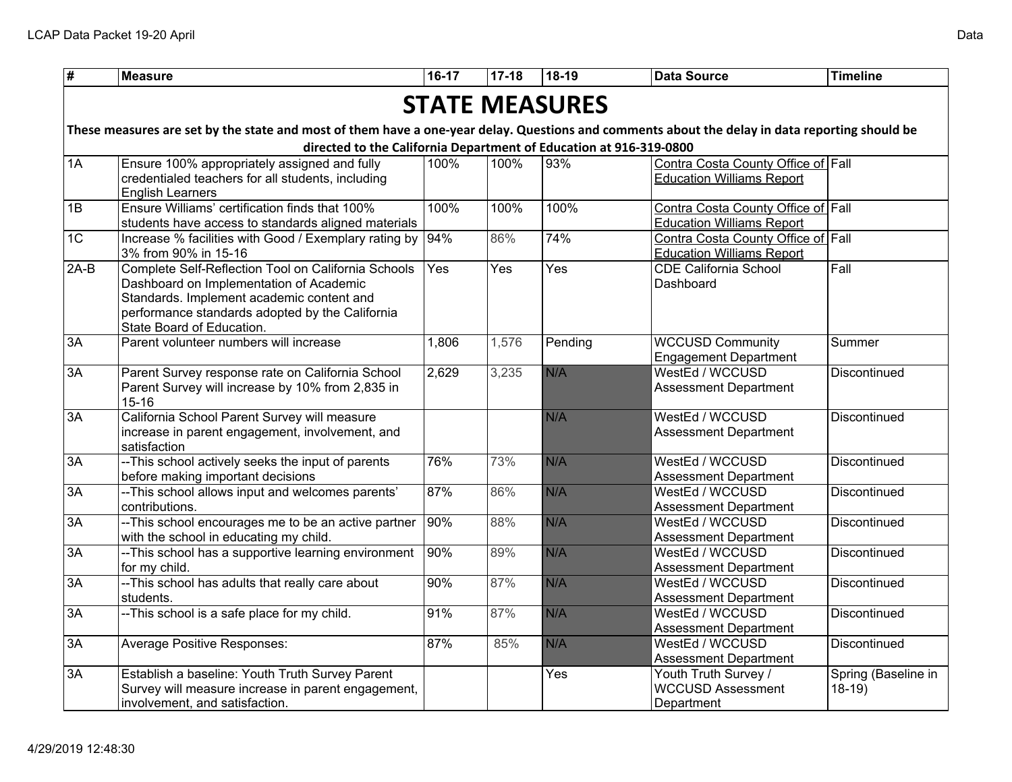| $\overline{\overline{t}}$ | <b>Measure</b>                                                                                                                                                                                                              | $16-17$ | $17-18$ | 18-19                 | <b>Data Source</b>                                                     | <b>Timeline</b>                |
|---------------------------|-----------------------------------------------------------------------------------------------------------------------------------------------------------------------------------------------------------------------------|---------|---------|-----------------------|------------------------------------------------------------------------|--------------------------------|
|                           |                                                                                                                                                                                                                             |         |         | <b>STATE MEASURES</b> |                                                                        |                                |
|                           |                                                                                                                                                                                                                             |         |         |                       |                                                                        |                                |
|                           | These measures are set by the state and most of them have a one-year delay. Questions and comments about the delay in data reporting should be<br>directed to the California Department of Education at 916-319-0800        |         |         |                       |                                                                        |                                |
| $\sqrt{1A}$               | Ensure 100% appropriately assigned and fully                                                                                                                                                                                | 100%    | 100%    | $\sqrt{93\%}$         | Contra Costa County Office of Fall                                     |                                |
|                           | credentialed teachers for all students, including<br><b>English Learners</b>                                                                                                                                                |         |         |                       | <b>Education Williams Report</b>                                       |                                |
| 1B                        | Ensure Williams' certification finds that 100%                                                                                                                                                                              | 100%    | 100%    | 100%                  | Contra Costa County Office of Fall                                     |                                |
|                           | students have access to standards aligned materials                                                                                                                                                                         |         |         |                       | <b>Education Williams Report</b>                                       |                                |
| $\overline{1C}$           | Increase % facilities with Good / Exemplary rating by<br>3% from 90% in 15-16                                                                                                                                               | 94%     | 86%     | 74%                   | Contra Costa County Office of Fall<br><b>Education Williams Report</b> |                                |
| $2A-B$                    | Complete Self-Reflection Tool on California Schools<br>Dashboard on Implementation of Academic<br>Standards. Implement academic content and<br>performance standards adopted by the California<br>State Board of Education. | Yes     | Yes     | Yes                   | <b>CDE California School</b><br>Dashboard                              | Fall                           |
| 3A                        | Parent volunteer numbers will increase                                                                                                                                                                                      | 1,806   | 1,576   | Pending               | <b>WCCUSD Community</b><br><b>Engagement Department</b>                | Summer                         |
| $\overline{3A}$           | Parent Survey response rate on California School<br>Parent Survey will increase by 10% from 2,835 in<br>$15 - 16$                                                                                                           | 2,629   | 3,235   | N/A                   | WestEd / WCCUSD<br><b>Assessment Department</b>                        | Discontinued                   |
| 3A                        | California School Parent Survey will measure<br>increase in parent engagement, involvement, and<br>satisfaction                                                                                                             |         |         | N/A                   | WestEd / WCCUSD<br><b>Assessment Department</b>                        | Discontinued                   |
| $\overline{3A}$           | -- This school actively seeks the input of parents<br>before making important decisions                                                                                                                                     | 76%     | 73%     | N/A                   | WestEd / WCCUSD<br><b>Assessment Department</b>                        | Discontinued                   |
| 3A                        | -- This school allows input and welcomes parents'<br>contributions.                                                                                                                                                         | 87%     | 86%     | N/A                   | WestEd / WCCUSD<br><b>Assessment Department</b>                        | Discontinued                   |
| $\overline{3A}$           | -- This school encourages me to be an active partner<br>with the school in educating my child.                                                                                                                              | 90%     | 88%     | N/A                   | WestEd / WCCUSD<br><b>Assessment Department</b>                        | Discontinued                   |
| 3A                        | -- This school has a supportive learning environment<br>for my child.                                                                                                                                                       | 90%     | 89%     | N/A                   | WestEd / WCCUSD<br><b>Assessment Department</b>                        | Discontinued                   |
| 3A                        | -- This school has adults that really care about<br>students.                                                                                                                                                               | 90%     | 87%     | N/A                   | WestEd / WCCUSD<br><b>Assessment Department</b>                        | Discontinued                   |
| 3A                        | -- This school is a safe place for my child.                                                                                                                                                                                | 91%     | 87%     | N/A                   | WestEd / WCCUSD<br><b>Assessment Department</b>                        | Discontinued                   |
| 3A                        | <b>Average Positive Responses:</b>                                                                                                                                                                                          | 87%     | 85%     | N/A                   | WestEd / WCCUSD<br><b>Assessment Department</b>                        | Discontinued                   |
| 3A                        | Establish a baseline: Youth Truth Survey Parent<br>Survey will measure increase in parent engagement,<br>involvement, and satisfaction.                                                                                     |         |         | Yes                   | Youth Truth Survey /<br><b>WCCUSD Assessment</b><br>Department         | Spring (Baseline in<br>$18-19$ |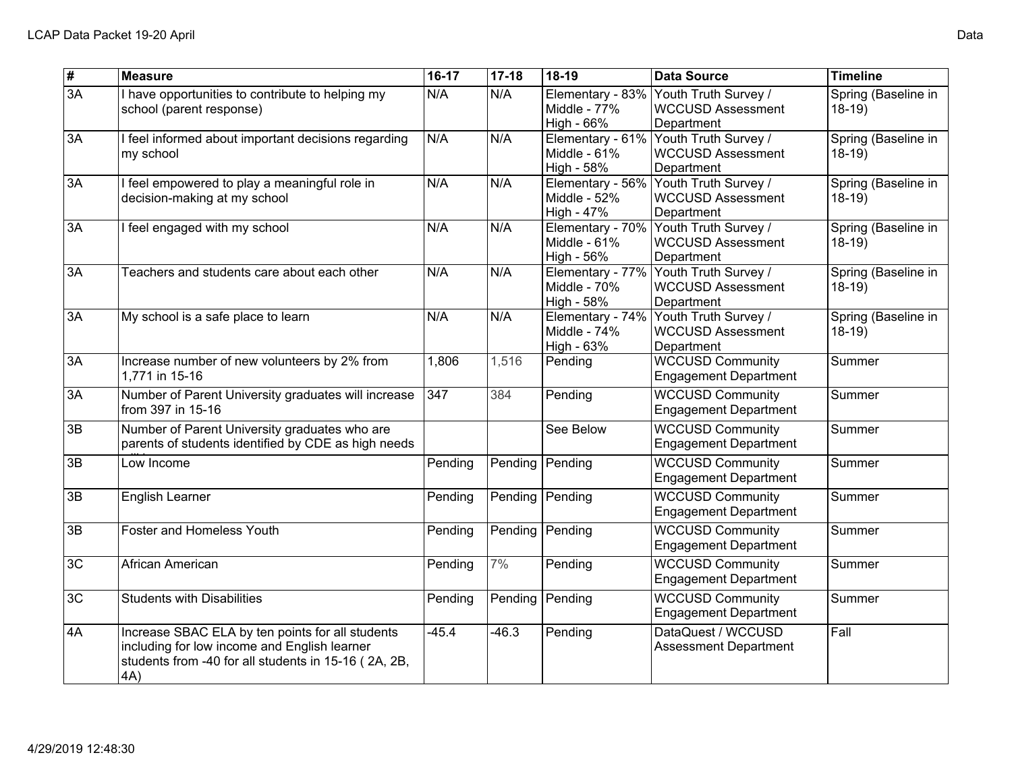| $\overline{\mathbf{t}}$ | <b>Measure</b>                                                                                                                                                  | 16-17   | $17 - 18$ | 18-19                                          | <b>Data Source</b>                                                              | <b>Timeline</b>                |
|-------------------------|-----------------------------------------------------------------------------------------------------------------------------------------------------------------|---------|-----------|------------------------------------------------|---------------------------------------------------------------------------------|--------------------------------|
| $\overline{3A}$         | I have opportunities to contribute to helping my<br>school (parent response)                                                                                    | N/A     | N/A       | Elementary - 83%<br>Middle - 77%<br>High - 66% | Youth Truth Survey /<br><b>WCCUSD Assessment</b><br>Department                  | Spring (Baseline in<br>$18-19$ |
| $\overline{3A}$         | I feel informed about important decisions regarding<br>my school                                                                                                | N/A     | N/A       | Middle - 61%<br>High - 58%                     | Elementary - 61% Youth Truth Survey /<br><b>WCCUSD Assessment</b><br>Department | Spring (Baseline in<br>$18-19$ |
| 3A                      | I feel empowered to play a meaningful role in<br>decision-making at my school                                                                                   | N/A     | N/A       | Elementary - 56%<br>Middle - 52%<br>High - 47% | Youth Truth Survey /<br><b>WCCUSD Assessment</b><br>Department                  | Spring (Baseline in<br>$18-19$ |
| 3A                      | I feel engaged with my school                                                                                                                                   | N/A     | N/A       | Elementary - 70%<br>Middle - 61%<br>High - 56% | Youth Truth Survey /<br><b>WCCUSD Assessment</b><br>Department                  | Spring (Baseline in<br>$18-19$ |
| 3A                      | Teachers and students care about each other                                                                                                                     | N/A     | N/A       | Middle - 70%<br>High - 58%                     | Elementary - 77% Youth Truth Survey /<br><b>WCCUSD Assessment</b><br>Department | Spring (Baseline in<br>$18-19$ |
| 3A                      | My school is a safe place to learn                                                                                                                              | N/A     | N/A       | Elementary - 74%<br>Middle - 74%<br>High - 63% | Youth Truth Survey /<br><b>WCCUSD Assessment</b><br>Department                  | Spring (Baseline in<br>$18-19$ |
| 3A                      | Increase number of new volunteers by 2% from<br>1,771 in 15-16                                                                                                  | 1,806   | 1,516     | Pending                                        | <b>WCCUSD Community</b><br><b>Engagement Department</b>                         | Summer                         |
| 3A                      | Number of Parent University graduates will increase<br>from 397 in 15-16                                                                                        | 347     | 384       | Pending                                        | <b>WCCUSD Community</b><br><b>Engagement Department</b>                         | Summer                         |
| $\overline{3B}$         | Number of Parent University graduates who are<br>parents of students identified by CDE as high needs                                                            |         |           | See Below                                      | <b>WCCUSD Community</b><br><b>Engagement Department</b>                         | Summer                         |
| 3B                      | Low Income                                                                                                                                                      | Pending | Pending   | Pending                                        | <b>WCCUSD Community</b><br><b>Engagement Department</b>                         | Summer                         |
| 3B                      | English Learner                                                                                                                                                 | Pending | Pending   | Pending                                        | <b>WCCUSD Community</b><br><b>Engagement Department</b>                         | Summer                         |
| 3B                      | Foster and Homeless Youth                                                                                                                                       | Pending | Pending   | Pending                                        | <b>WCCUSD Community</b><br><b>Engagement Department</b>                         | Summer                         |
| 3C                      | African American                                                                                                                                                | Pending | 7%        | Pending                                        | <b>WCCUSD Community</b><br><b>Engagement Department</b>                         | Summer                         |
| 3C                      | <b>Students with Disabilities</b>                                                                                                                               | Pending | Pending   | Pending                                        | <b>WCCUSD Community</b><br><b>Engagement Department</b>                         | Summer                         |
| 4A                      | Increase SBAC ELA by ten points for all students<br>including for low income and English learner<br>students from -40 for all students in 15-16 (2A, 2B,<br>4A) | $-45.4$ | $-46.3$   | Pending                                        | DataQuest / WCCUSD<br><b>Assessment Department</b>                              | Fall                           |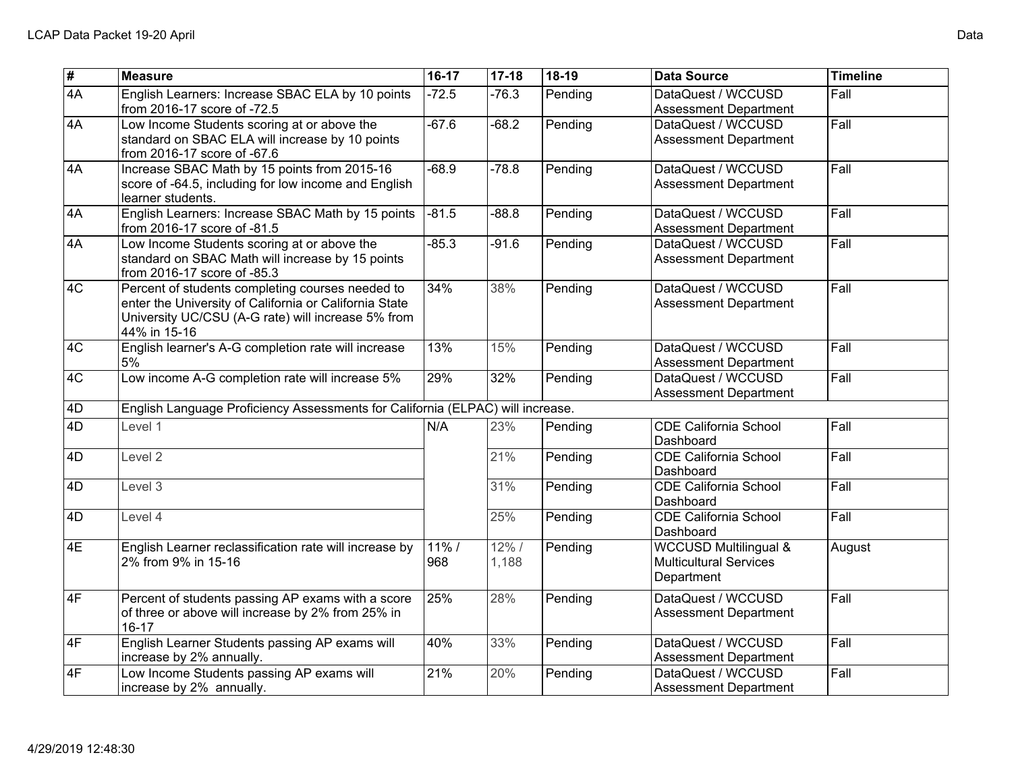| $\overline{\mathbf{t}}$ | <b>Measure</b>                                                                                                                                                                   | 16-17           | $17 - 18$         | 18-19   | <b>Data Source</b>                                                              | <b>Timeline</b> |
|-------------------------|----------------------------------------------------------------------------------------------------------------------------------------------------------------------------------|-----------------|-------------------|---------|---------------------------------------------------------------------------------|-----------------|
| $\overline{4A}$         | English Learners: Increase SBAC ELA by 10 points<br>from 2016-17 score of -72.5                                                                                                  | $-72.5$         | $-76.3$           | Pending | DataQuest / WCCUSD<br><b>Assessment Department</b>                              | Fall            |
| $\sqrt{4A}$             | Low Income Students scoring at or above the<br>standard on SBAC ELA will increase by 10 points<br>from 2016-17 score of -67.6                                                    | $-67.6$         | $-68.2$           | Pending | DataQuest / WCCUSD<br><b>Assessment Department</b>                              | Fall            |
| $\overline{4A}$         | Increase SBAC Math by 15 points from 2015-16<br>score of -64.5, including for low income and English<br>learner students.                                                        | $-68.9$         | $-78.8$           | Pending | DataQuest / WCCUSD<br><b>Assessment Department</b>                              | Fall            |
| $\overline{4A}$         | English Learners: Increase SBAC Math by 15 points<br>from 2016-17 score of -81.5                                                                                                 | $-81.5$         | $-88.8$           | Pending | DataQuest / WCCUSD<br><b>Assessment Department</b>                              | Fall            |
| $\overline{4A}$         | Low Income Students scoring at or above the<br>standard on SBAC Math will increase by 15 points<br>from 2016-17 score of -85.3                                                   | $-85.3$         | $-91.6$           | Pending | DataQuest / WCCUSD<br><b>Assessment Department</b>                              | Fall            |
| ∣4C                     | Percent of students completing courses needed to<br>enter the University of California or California State<br>University UC/CSU (A-G rate) will increase 5% from<br>44% in 15-16 | 34%             | 38%               | Pending | DataQuest / WCCUSD<br><b>Assessment Department</b>                              | Fall            |
| $\overline{4C}$         | English learner's A-G completion rate will increase<br>5%                                                                                                                        | 13%             | 15%               | Pending | DataQuest / WCCUSD<br><b>Assessment Department</b>                              | Fall            |
| $\overline{4C}$         | Low income A-G completion rate will increase 5%                                                                                                                                  | 29%             | 32%               | Pending | DataQuest / WCCUSD<br><b>Assessment Department</b>                              | Fall            |
| 4D                      | English Language Proficiency Assessments for California (ELPAC) will increase.                                                                                                   |                 |                   |         |                                                                                 |                 |
| $\overline{4D}$         | Level 1                                                                                                                                                                          | N/A             | 23%               | Pending | <b>CDE California School</b><br>Dashboard                                       | Fall            |
| $\overline{4D}$         | Level <sub>2</sub>                                                                                                                                                               |                 | 21%               | Pending | <b>CDE California School</b><br>Dashboard                                       | Fall            |
| 4D                      | Level 3                                                                                                                                                                          |                 | 31%               | Pending | <b>CDE California School</b><br>Dashboard                                       | Fall            |
| 4D                      | Level 4                                                                                                                                                                          |                 | 25%               | Pending | <b>CDE California School</b><br>Dashboard                                       | Fall            |
| $\overline{4E}$         | English Learner reclassification rate will increase by<br>2% from 9% in 15-16                                                                                                    | $11\%$ /<br>968 | $12\%$ /<br>1,188 | Pending | <b>WCCUSD Multilingual &amp;</b><br><b>Multicultural Services</b><br>Department | August          |
| $\overline{4F}$         | Percent of students passing AP exams with a score<br>of three or above will increase by 2% from 25% in<br>$16 - 17$                                                              | 25%             | 28%               | Pending | DataQuest / WCCUSD<br><b>Assessment Department</b>                              | Fall            |
| 4F                      | English Learner Students passing AP exams will<br>increase by 2% annually.                                                                                                       | 40%             | 33%               | Pending | DataQuest / WCCUSD<br><b>Assessment Department</b>                              | Fall            |
| $\overline{4F}$         | Low Income Students passing AP exams will<br>increase by 2% annually.                                                                                                            | 21%             | 20%               | Pending | DataQuest / WCCUSD<br><b>Assessment Department</b>                              | Fall            |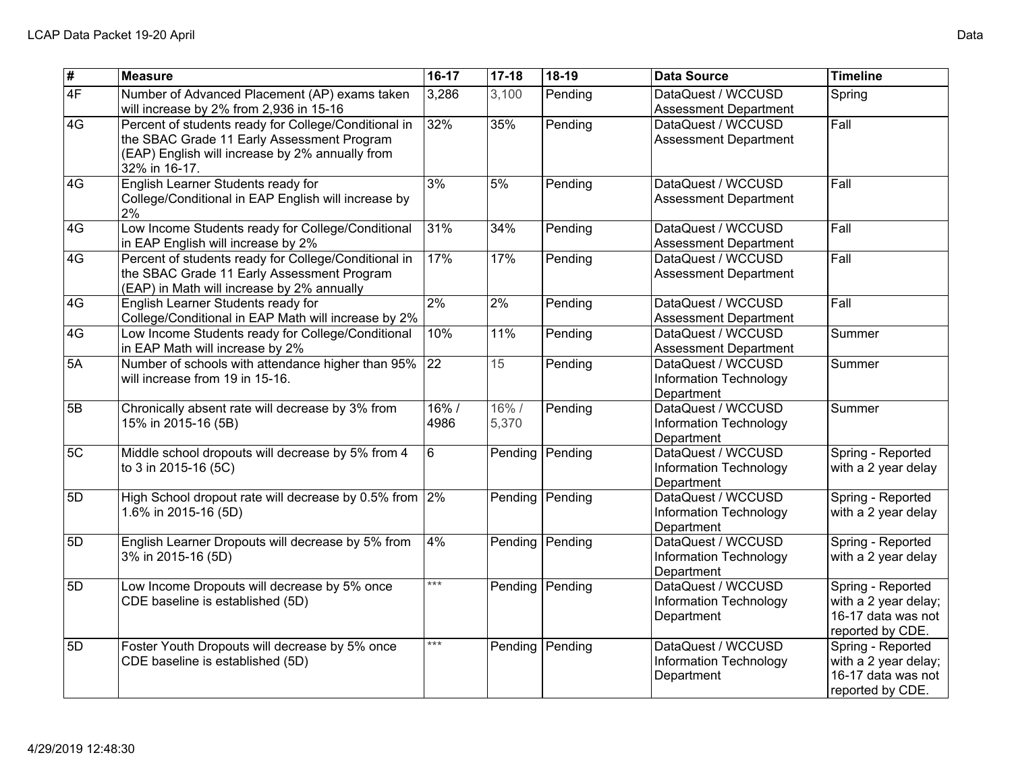| #               | <b>Measure</b>                                                                                                                                                         | 16-17        | $17 - 18$     | 18-19   | <b>Data Source</b>                                         | <b>Timeline</b>                                                                     |
|-----------------|------------------------------------------------------------------------------------------------------------------------------------------------------------------------|--------------|---------------|---------|------------------------------------------------------------|-------------------------------------------------------------------------------------|
| $\overline{4F}$ | Number of Advanced Placement (AP) exams taken<br>will increase by 2% from 2,936 in 15-16                                                                               | 3,286        | 3,100         | Pending | DataQuest / WCCUSD<br><b>Assessment Department</b>         | Spring                                                                              |
| 4G              | Percent of students ready for College/Conditional in<br>the SBAC Grade 11 Early Assessment Program<br>(EAP) English will increase by 2% annually from<br>32% in 16-17. | 32%          | 35%           | Pending | DataQuest / WCCUSD<br><b>Assessment Department</b>         | Fall                                                                                |
| 4G              | English Learner Students ready for<br>College/Conditional in EAP English will increase by<br>2%                                                                        | 3%           | 5%            | Pending | DataQuest / WCCUSD<br><b>Assessment Department</b>         | Fall                                                                                |
| 4G              | Low Income Students ready for College/Conditional<br>in EAP English will increase by 2%                                                                                | 31%          | 34%           | Pending | DataQuest / WCCUSD<br><b>Assessment Department</b>         | Fall                                                                                |
| 4G              | Percent of students ready for College/Conditional in<br>the SBAC Grade 11 Early Assessment Program<br>(EAP) in Math will increase by 2% annually                       | 17%          | 17%           | Pending | DataQuest / WCCUSD<br><b>Assessment Department</b>         | Fall                                                                                |
| 4G              | English Learner Students ready for<br>College/Conditional in EAP Math will increase by 2%                                                                              | $2\%$        | 2%            | Pending | DataQuest / WCCUSD<br><b>Assessment Department</b>         | Fall                                                                                |
| 4G              | Low Income Students ready for College/Conditional<br>in EAP Math will increase by 2%                                                                                   | 10%          | 11%           | Pending | DataQuest / WCCUSD<br><b>Assessment Department</b>         | Summer                                                                              |
| 5A              | Number of schools with attendance higher than 95%<br>will increase from 19 in 15-16.                                                                                   | 22           | 15            | Pending | DataQuest / WCCUSD<br>Information Technology<br>Department | Summer                                                                              |
| 5B              | Chronically absent rate will decrease by 3% from<br>15% in 2015-16 (5B)                                                                                                | 16%/<br>4986 | 16%/<br>5,370 | Pending | DataQuest / WCCUSD<br>Information Technology<br>Department | Summer                                                                              |
| 5C              | Middle school dropouts will decrease by 5% from 4<br>to 3 in 2015-16 (5C)                                                                                              | 6            | Pending       | Pending | DataQuest / WCCUSD<br>Information Technology<br>Department | Spring - Reported<br>with a 2 year delay                                            |
| 5D              | High School dropout rate will decrease by 0.5% from 2%<br>1.6% in 2015-16 (5D)                                                                                         |              | Pending       | Pending | DataQuest / WCCUSD<br>Information Technology<br>Department | Spring - Reported<br>with a 2 year delay                                            |
| 5D              | English Learner Dropouts will decrease by 5% from<br>3% in 2015-16 (5D)                                                                                                | 4%           | Pending       | Pending | DataQuest / WCCUSD<br>Information Technology<br>Department | Spring - Reported<br>with a 2 year delay                                            |
| 5D              | Low Income Dropouts will decrease by 5% once<br>CDE baseline is established (5D)                                                                                       | $***$        | Pending       | Pending | DataQuest / WCCUSD<br>Information Technology<br>Department | Spring - Reported<br>with a 2 year delay;<br>16-17 data was not<br>reported by CDE. |
| 5D              | Foster Youth Dropouts will decrease by 5% once<br>CDE baseline is established (5D)                                                                                     | $***$        | Pending       | Pending | DataQuest / WCCUSD<br>Information Technology<br>Department | Spring - Reported<br>with a 2 year delay;<br>16-17 data was not<br>reported by CDE. |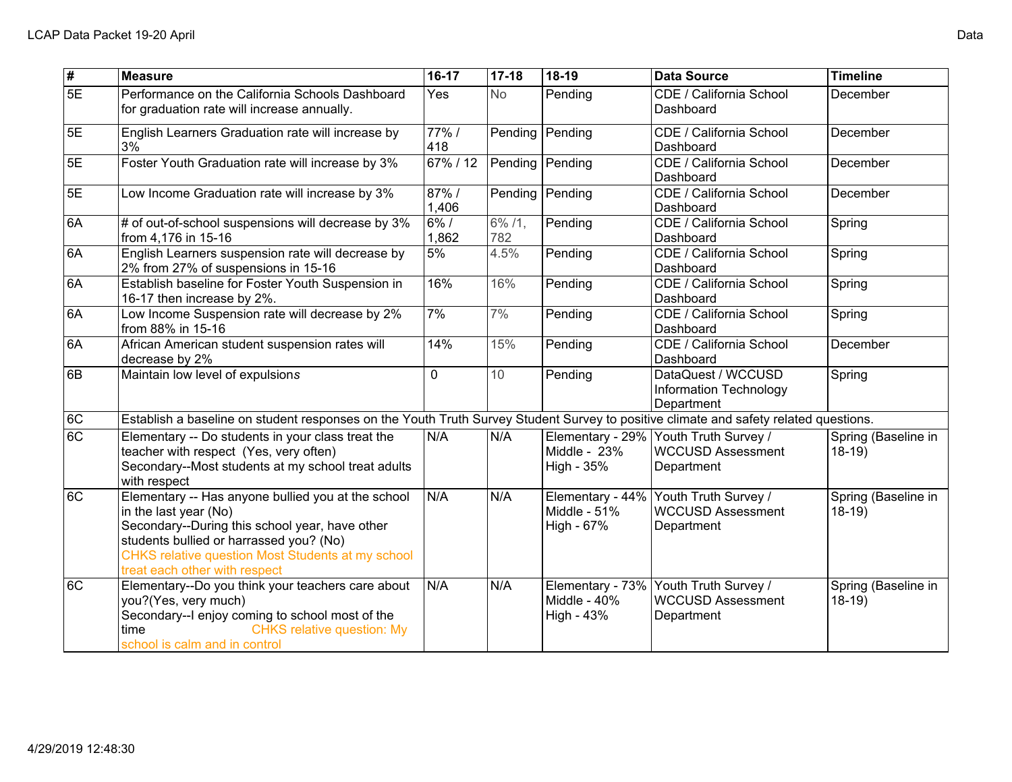| $\overline{\mathbf{t}}$ | <b>Measure</b>                                                                                                                                                                                                                                                 | $16-17$           | $17-18$       | 18-19                        | <b>Data Source</b>                                                              | <b>Timeline</b>                |  |  |
|-------------------------|----------------------------------------------------------------------------------------------------------------------------------------------------------------------------------------------------------------------------------------------------------------|-------------------|---------------|------------------------------|---------------------------------------------------------------------------------|--------------------------------|--|--|
| 5E                      | Performance on the California Schools Dashboard<br>for graduation rate will increase annually.                                                                                                                                                                 | Yes               | <b>No</b>     | Pending                      | CDE / California School<br>Dashboard                                            | December                       |  |  |
| 5E                      | English Learners Graduation rate will increase by<br>3%                                                                                                                                                                                                        | 77%/<br>418       | Pending       | Pending                      | CDE / California School<br>Dashboard                                            | December                       |  |  |
| 5E                      | Foster Youth Graduation rate will increase by 3%                                                                                                                                                                                                               | $\frac{67\%}{12}$ |               | Pending   Pending            | CDE / California School<br>Dashboard                                            | December                       |  |  |
| 5E                      | Low Income Graduation rate will increase by 3%                                                                                                                                                                                                                 | 87%/<br>1,406     | Pending       | Pending                      | CDE / California School<br>Dashboard                                            | December                       |  |  |
| 6A                      | # of out-of-school suspensions will decrease by 3%<br>from 4,176 in 15-16                                                                                                                                                                                      | 6% /<br>1,862     | 6% /1,<br>782 | Pending                      | CDE / California School<br>Dashboard                                            | Spring                         |  |  |
| 6A                      | English Learners suspension rate will decrease by<br>2% from 27% of suspensions in 15-16                                                                                                                                                                       | 5%                | 4.5%          | Pending                      | CDE / California School<br>Dashboard                                            | Spring                         |  |  |
| 6A                      | Establish baseline for Foster Youth Suspension in<br>16-17 then increase by 2%.                                                                                                                                                                                | 16%               | 16%           | Pending                      | CDE / California School<br>Dashboard                                            | Spring                         |  |  |
| 6A                      | Low Income Suspension rate will decrease by 2%<br>from 88% in 15-16                                                                                                                                                                                            | 7%                | 7%            | Pending                      | CDE / California School<br>Dashboard                                            | Spring                         |  |  |
| 6A                      | African American student suspension rates will<br>decrease by 2%                                                                                                                                                                                               | 14%               | 15%           | Pending                      | CDE / California School<br>Dashboard                                            | December                       |  |  |
| $\overline{6B}$         | Maintain low level of expulsions                                                                                                                                                                                                                               | 0                 | 10            | Pending                      | DataQuest / WCCUSD<br>Information Technology<br>Department                      | Spring                         |  |  |
| $\overline{6C}$         | Establish a baseline on student responses on the Youth Truth Survey Student Survey to positive climate and safety related questions.                                                                                                                           |                   |               |                              |                                                                                 |                                |  |  |
| $\overline{6C}$         | Elementary -- Do students in your class treat the<br>teacher with respect (Yes, very often)<br>Secondary--Most students at my school treat adults<br>with respect                                                                                              | N/A               | N/A           | Middle - $23%$<br>High - 35% | Elementary - 29% Youth Truth Survey /<br><b>WCCUSD Assessment</b><br>Department | Spring (Baseline in<br>$18-19$ |  |  |
| 6C                      | Elementary -- Has anyone bullied you at the school<br>in the last year (No)<br>Secondary--During this school year, have other<br>students bullied or harrassed you? (No)<br>CHKS relative question Most Students at my school<br>treat each other with respect | N/A               | N/A           | Middle - 51%<br>High - 67%   | Elementary - 44% Youth Truth Survey /<br><b>WCCUSD Assessment</b><br>Department | Spring (Baseline in<br>$18-19$ |  |  |
| $\overline{6C}$         | Elementary--Do you think your teachers care about<br>you?(Yes, very much)<br>Secondary--I enjoy coming to school most of the<br><b>CHKS relative question: My</b><br>time<br>school is calm and in control                                                     | N/A               | N/A           | Middle - 40%<br>High - 43%   | Elementary - 73% Youth Truth Survey /<br><b>WCCUSD Assessment</b><br>Department | Spring (Baseline in<br>$18-19$ |  |  |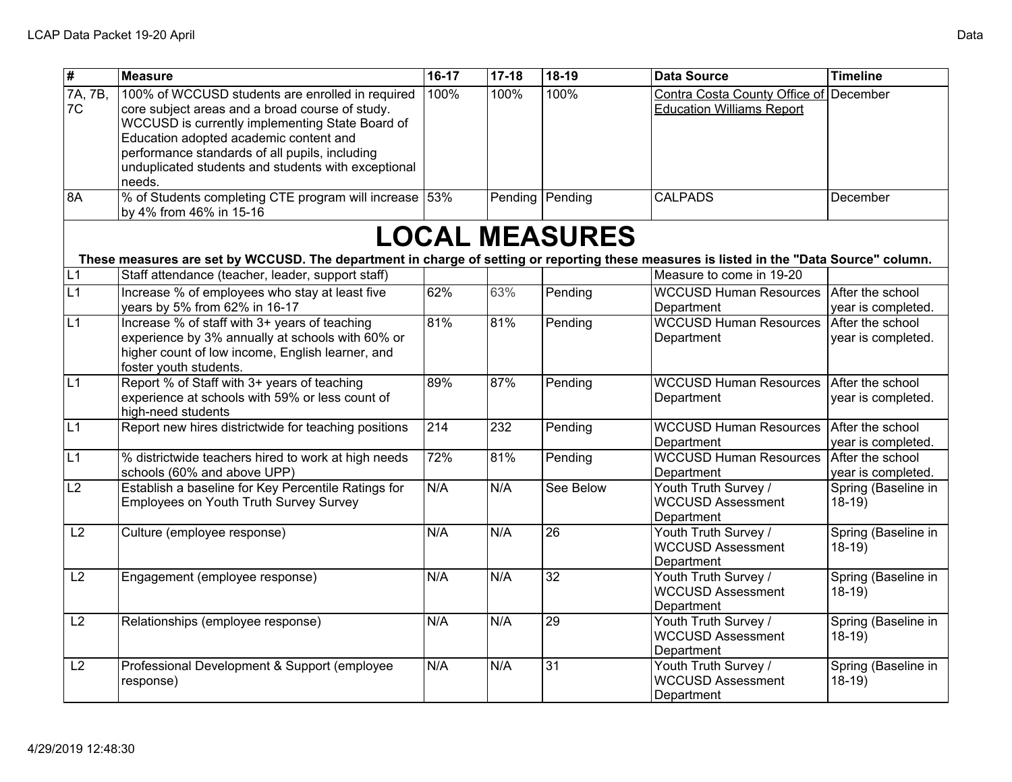| $\overline{\mathbf{H}}$    | <b>Measure</b>                                                                                                                                                                                                                                                                                                      | 16-17            | $17 - 18$        | 18-19           | <b>Data Source</b>                                                | <b>Timeline</b>                        |  |  |  |
|----------------------------|---------------------------------------------------------------------------------------------------------------------------------------------------------------------------------------------------------------------------------------------------------------------------------------------------------------------|------------------|------------------|-----------------|-------------------------------------------------------------------|----------------------------------------|--|--|--|
| $\sqrt{7A}$ , $7B$ ,<br>7C | 100% of WCCUSD students are enrolled in required<br>core subject areas and a broad course of study.<br>WCCUSD is currently implementing State Board of<br>Education adopted academic content and<br>performance standards of all pupils, including<br>unduplicated students and students with exceptional<br>needs. | 100%             | 100%             | 100%            | Contra Costa County Office of<br><b>Education Williams Report</b> | December                               |  |  |  |
| 8A                         | % of Students completing CTE program will increase   53%<br>by 4% from 46% in 15-16                                                                                                                                                                                                                                 |                  | Pending          | Pending         | <b>CALPADS</b>                                                    | December                               |  |  |  |
|                            | <b>LOCAL MEASURES</b>                                                                                                                                                                                                                                                                                               |                  |                  |                 |                                                                   |                                        |  |  |  |
|                            | These measures are set by WCCUSD. The department in charge of setting or reporting these measures is listed in the "Data Source" column.                                                                                                                                                                            |                  |                  |                 |                                                                   |                                        |  |  |  |
| $\overline{L1}$            | Staff attendance (teacher, leader, support staff)                                                                                                                                                                                                                                                                   |                  |                  |                 | Measure to come in 19-20                                          |                                        |  |  |  |
| $\overline{L1}$            | Increase % of employees who stay at least five<br>years by 5% from 62% in 16-17                                                                                                                                                                                                                                     | 62%              | 63%              | Pending         | <b>WCCUSD Human Resources</b><br>Department                       | After the school<br>year is completed. |  |  |  |
| $\overline{L1}$            | Increase % of staff with 3+ years of teaching<br>experience by 3% annually at schools with 60% or<br>higher count of low income, English learner, and<br>foster youth students.                                                                                                                                     | 81%              | 81%              | Pending         | <b>WCCUSD Human Resources</b><br>Department                       | After the school<br>year is completed. |  |  |  |
| $\overline{L1}$            | Report % of Staff with 3+ years of teaching<br>experience at schools with 59% or less count of<br>high-need students                                                                                                                                                                                                | 89%              | 87%              | Pending         | <b>WCCUSD Human Resources</b><br>Department                       | After the school<br>year is completed. |  |  |  |
| L <sub>1</sub>             | Report new hires districtwide for teaching positions                                                                                                                                                                                                                                                                | $\overline{214}$ | $\overline{232}$ | Pending         | <b>WCCUSD Human Resources</b><br>Department                       | After the school<br>year is completed. |  |  |  |
| $\overline{L1}$            | % districtwide teachers hired to work at high needs<br>schools (60% and above UPP)                                                                                                                                                                                                                                  | 72%              | 81%              | Pending         | <b>WCCUSD Human Resources</b><br>Department                       | After the school<br>year is completed. |  |  |  |
| $\overline{L2}$            | Establish a baseline for Key Percentile Ratings for<br>Employees on Youth Truth Survey Survey                                                                                                                                                                                                                       | N/A              | N/A              | See Below       | Youth Truth Survey /<br><b>WCCUSD Assessment</b><br>Department    | Spring (Baseline in<br>$18-19$         |  |  |  |
| L2                         | Culture (employee response)                                                                                                                                                                                                                                                                                         | N/A              | N/A              | $\overline{26}$ | Youth Truth Survey /<br><b>WCCUSD Assessment</b><br>Department    | Spring (Baseline in<br>$18-19$         |  |  |  |
| L2                         | Engagement (employee response)                                                                                                                                                                                                                                                                                      | N/A              | N/A              | 32              | Youth Truth Survey /<br><b>WCCUSD Assessment</b><br>Department    | Spring (Baseline in<br>$18-19$         |  |  |  |
| L2                         | Relationships (employee response)                                                                                                                                                                                                                                                                                   | N/A              | N/A              | 29              | Youth Truth Survey /<br><b>WCCUSD Assessment</b><br>Department    | Spring (Baseline in<br>$18-19$         |  |  |  |
| L2                         | Professional Development & Support (employee<br>response)                                                                                                                                                                                                                                                           | N/A              | N/A              | $\overline{31}$ | Youth Truth Survey /<br><b>WCCUSD Assessment</b><br>Department    | Spring (Baseline in<br>$18-19$         |  |  |  |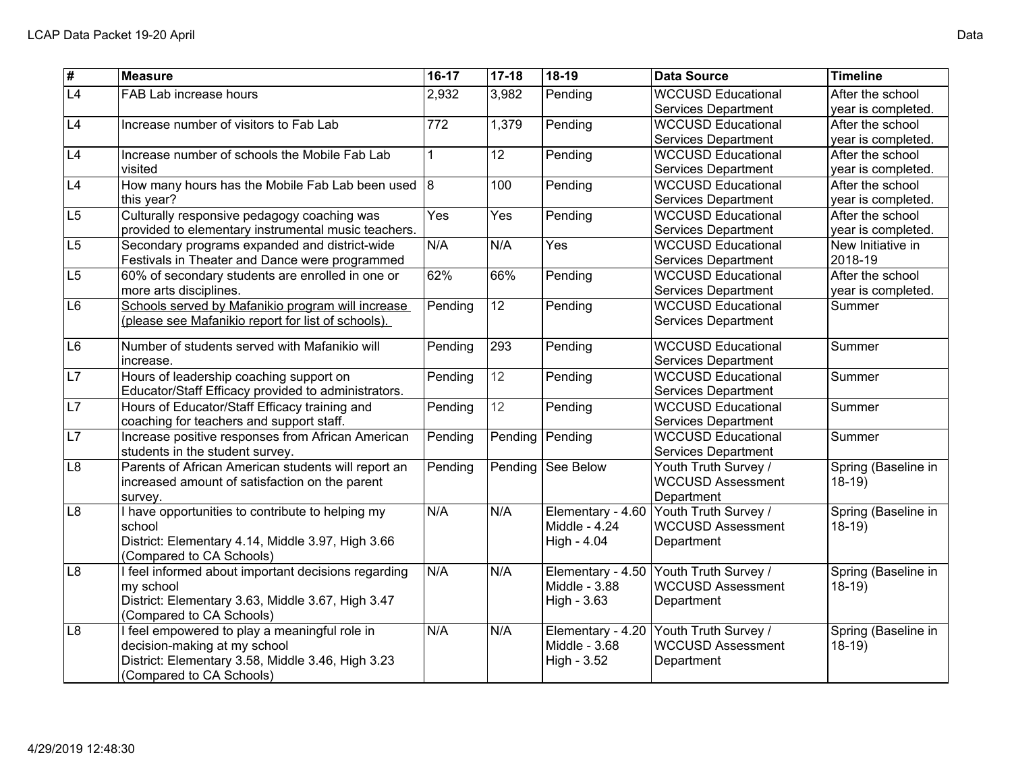| $\overline{\boldsymbol{t}}$ | <b>Measure</b>                                      | $16-17$ | $17-18$         | $18-19$           | <b>Data Source</b>         | <b>Timeline</b>     |
|-----------------------------|-----------------------------------------------------|---------|-----------------|-------------------|----------------------------|---------------------|
| $\overline{L4}$             | FAB Lab increase hours                              | 2,932   | 3,982           | Pending           | <b>WCCUSD Educational</b>  | After the school    |
|                             |                                                     |         |                 |                   | <b>Services Department</b> | year is completed.  |
| L4                          | Increase number of visitors to Fab Lab              | 772     | 1,379           | Pending           | <b>WCCUSD Educational</b>  | After the school    |
|                             |                                                     |         |                 |                   | <b>Services Department</b> | year is completed.  |
| L4                          | Increase number of schools the Mobile Fab Lab       | 1       | $\overline{12}$ | Pending           | <b>WCCUSD Educational</b>  | After the school    |
|                             | visited                                             |         |                 |                   | Services Department        | year is completed.  |
| L4                          | How many hours has the Mobile Fab Lab been used     | 8       | 100             | Pending           | <b>WCCUSD Educational</b>  | After the school    |
|                             | this year?                                          |         |                 |                   | Services Department        | year is completed.  |
| L5                          | Culturally responsive pedagogy coaching was         | Yes     | Yes             | Pending           | <b>WCCUSD Educational</b>  | After the school    |
|                             | provided to elementary instrumental music teachers. |         |                 |                   | Services Department        | year is completed.  |
| $\overline{L5}$             | Secondary programs expanded and district-wide       | N/A     | N/A             | Yes               | <b>WCCUSD Educational</b>  | New Initiative in   |
|                             | Festivals in Theater and Dance were programmed      |         |                 |                   | Services Department        | 2018-19             |
| L5                          | 60% of secondary students are enrolled in one or    | 62%     | 66%             | Pending           | <b>WCCUSD Educational</b>  | After the school    |
|                             | more arts disciplines.                              |         |                 |                   | Services Department        | year is completed.  |
| L6                          | Schools served by Mafanikio program will increase   | Pending | $\overline{12}$ | Pending           | <b>WCCUSD Educational</b>  | Summer              |
|                             | (please see Mafanikio report for list of schools).  |         |                 |                   | <b>Services Department</b> |                     |
| L6                          | Number of students served with Mafanikio will       | Pending | 293             | Pending           | <b>WCCUSD Educational</b>  | Summer              |
|                             | increase.                                           |         |                 |                   | Services Department        |                     |
| $\overline{L7}$             | Hours of leadership coaching support on             | Pending | 12              | Pending           | <b>WCCUSD Educational</b>  | Summer              |
|                             | Educator/Staff Efficacy provided to administrators. |         |                 |                   | <b>Services Department</b> |                     |
| L7                          | Hours of Educator/Staff Efficacy training and       | Pending | 12              | Pending           | <b>WCCUSD Educational</b>  | Summer              |
|                             | coaching for teachers and support staff.            |         |                 |                   | <b>Services Department</b> |                     |
| $\overline{L7}$             | Increase positive responses from African American   | Pending | Pending         | Pending           | <b>WCCUSD Educational</b>  | Summer              |
|                             | students in the student survey.                     |         |                 |                   | <b>Services Department</b> |                     |
| $\overline{L8}$             | Parents of African American students will report an | Pending | Pending         | See Below         | Youth Truth Survey /       | Spring (Baseline in |
|                             | increased amount of satisfaction on the parent      |         |                 |                   | <b>WCCUSD Assessment</b>   | $18-19$             |
|                             | survey.                                             |         |                 |                   | Department                 |                     |
| L8                          | I have opportunities to contribute to helping my    | N/A     | N/A             | Elementary - 4.60 | Youth Truth Survey /       | Spring (Baseline in |
|                             | school                                              |         |                 | Middle - 4.24     | <b>WCCUSD Assessment</b>   | $18-19$             |
|                             | District: Elementary 4.14, Middle 3.97, High 3.66   |         |                 | High - 4.04       | Department                 |                     |
|                             | (Compared to CA Schools)                            |         |                 |                   |                            |                     |
| L <sub>8</sub>              | I feel informed about important decisions regarding | N/A     | N/A             | Elementary - 4.50 | Youth Truth Survey /       | Spring (Baseline in |
|                             | my school                                           |         |                 | Middle - 3.88     | <b>WCCUSD Assessment</b>   | $18-19$             |
|                             | District: Elementary 3.63, Middle 3.67, High 3.47   |         |                 | High - 3.63       | Department                 |                     |
|                             | (Compared to CA Schools)                            |         |                 |                   |                            |                     |
| L8                          | I feel empowered to play a meaningful role in       | N/A     | N/A             | Elementary - 4.20 | Youth Truth Survey /       | Spring (Baseline in |
|                             | decision-making at my school                        |         |                 | Middle - 3.68     | <b>WCCUSD Assessment</b>   | $18-19$             |
|                             | District: Elementary 3.58, Middle 3.46, High 3.23   |         |                 | High - 3.52       | Department                 |                     |
|                             | (Compared to CA Schools)                            |         |                 |                   |                            |                     |